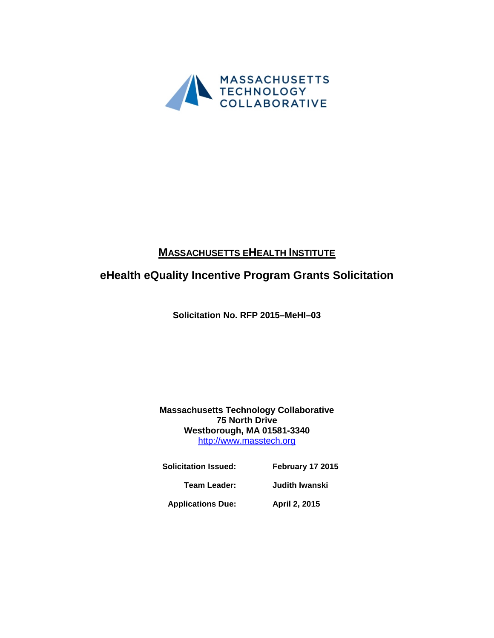

# **MASSACHUSETTS EHEALTH INSTITUTE**

# **eHealth eQuality Incentive Program Grants Solicitation**

**Solicitation No. RFP 2015–MeHI–03**

## **Massachusetts Technology Collaborative 75 North Drive Westborough, MA 01581-3340** [http://www.masstech.org](http://www.masstech.org/)

| <b>Solicitation Issued:</b> | February 17 2015 |
|-----------------------------|------------------|
| Team Leader:                | Judith Iwanski   |
|                             |                  |

**Applications Due: April 2, 2015**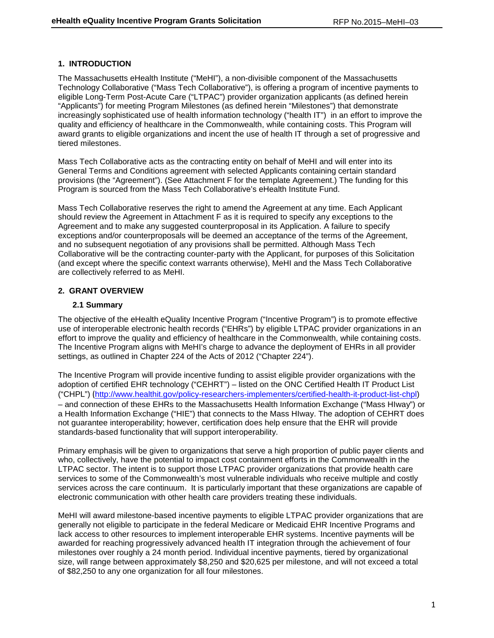### **1. INTRODUCTION**

The Massachusetts eHealth Institute ("MeHI"), a non-divisible component of the Massachusetts Technology Collaborative ("Mass Tech Collaborative"), is offering a program of incentive payments to eligible Long-Term Post-Acute Care ("LTPAC") provider organization applicants (as defined herein "Applicants") for meeting Program Milestones (as defined herein "Milestones") that demonstrate increasingly sophisticated use of health information technology ("health IT") in an effort to improve the quality and efficiency of healthcare in the Commonwealth, while containing costs. This Program will award grants to eligible organizations and incent the use of health IT through a set of progressive and tiered milestones.

Mass Tech Collaborative acts as the contracting entity on behalf of MeHI and will enter into its General Terms and Conditions agreement with selected Applicants containing certain standard provisions (the "Agreement"). (See Attachment F for the template Agreement.) The funding for this Program is sourced from the Mass Tech Collaborative's eHealth Institute Fund.

Mass Tech Collaborative reserves the right to amend the Agreement at any time. Each Applicant should review the Agreement in Attachment F as it is required to specify any exceptions to the Agreement and to make any suggested counterproposal in its Application. A failure to specify exceptions and/or counterproposals will be deemed an acceptance of the terms of the Agreement, and no subsequent negotiation of any provisions shall be permitted. Although Mass Tech Collaborative will be the contracting counter-party with the Applicant, for purposes of this Solicitation (and except where the specific context warrants otherwise), MeHI and the Mass Tech Collaborative are collectively referred to as MeHI.

### **2. GRANT OVERVIEW**

### **2.1 Summary**

The objective of the eHealth eQuality Incentive Program ("Incentive Program") is to promote effective use of interoperable electronic health records ("EHRs") by eligible LTPAC provider organizations in an effort to improve the quality and efficiency of healthcare in the Commonwealth, while containing costs. The Incentive Program aligns with MeHI's charge to advance the deployment of EHRs in all provider settings, as outlined in Chapter 224 of the Acts of 2012 ("Chapter 224").

The Incentive Program will provide incentive funding to assist eligible provider organizations with the adoption of certified EHR technology ("CEHRT") – listed on the ONC Certified Health IT Product List ("CHPL") ([http://www.healthit.gov/policy-researchers-implementers/certified-health-it-product-list-chpl\)](http://www.healthit.gov/policy-researchers-implementers/certified-health-it-product-list-chpl) – and connection of these EHRs to the Massachusetts Health Information Exchange ("Mass HIway") or a Health Information Exchange ("HIE") that connects to the Mass HIway. The adoption of CEHRT does not guarantee interoperability; however, certification does help ensure that the EHR will provide standards-based functionality that will support interoperability.

Primary emphasis will be given to organizations that serve a high proportion of public payer clients and who, collectively, have the potential to impact cost containment efforts in the Commonwealth in the LTPAC sector. The intent is to support those LTPAC provider organizations that provide health care services to some of the Commonwealth's most vulnerable individuals who receive multiple and costly services across the care continuum. It is particularly important that these organizations are capable of electronic communication with other health care providers treating these individuals.

MeHI will award milestone-based incentive payments to eligible LTPAC provider organizations that are generally not eligible to participate in the federal Medicare or Medicaid EHR Incentive Programs and lack access to other resources to implement interoperable EHR systems. Incentive payments will be awarded for reaching progressively advanced health IT integration through the achievement of four milestones over roughly a 24 month period. Individual incentive payments, tiered by organizational size, will range between approximately \$8,250 and \$20,625 per milestone, and will not exceed a total of \$82,250 to any one organization for all four milestones.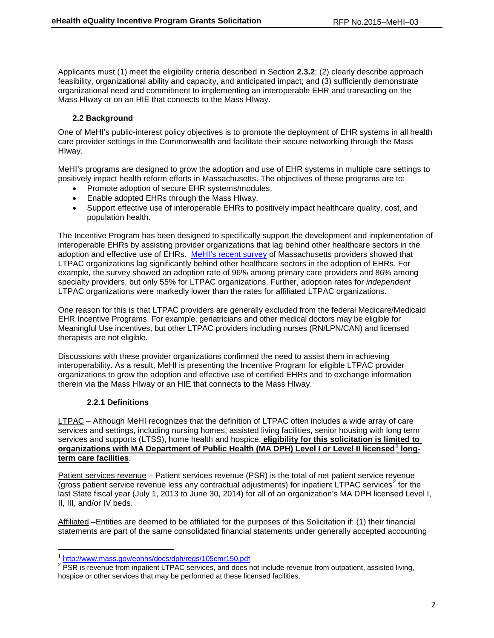Applicants must (1) meet the eligibility criteria described in Section **2.3.2**; (2) clearly describe approach feasibility, organizational ability and capacity, and anticipated impact; and (3) sufficiently demonstrate organizational need and commitment to implementing an interoperable EHR and transacting on the Mass HIway or on an HIE that connects to the Mass HIway.

## **2.2 Background**

One of MeHI's public-interest policy objectives is to promote the deployment of EHR systems in all health care provider settings in the Commonwealth and facilitate their secure networking through the Mass HIway.

MeHI's programs are designed to grow the adoption and use of EHR systems in multiple care settings to positively impact health reform efforts in Massachusetts. The objectives of these programs are to:

- Promote adoption of secure EHR systems/modules,
- Enable adopted EHRs through the Mass HIway,
- Support effective use of interoperable EHRs to positively impact healthcare quality, cost, and population health.

The Incentive Program has been designed to specifically support the development and implementation of interoperable EHRs by assisting provider organizations that lag behind other healthcare sectors in the adoption and effective use of EHRs. [MeHI's recent survey](http://mehi.masstech.org/Survey2014) of Massachusetts providers showed that LTPAC organizations lag significantly behind other healthcare sectors in the adoption of EHRs. For example, the survey showed an adoption rate of 96% among primary care providers and 86% among specialty providers, but only 55% for LTPAC organizations. Further, adoption rates for *independent* LTPAC organizations were markedly lower than the rates for affiliated LTPAC organizations.

One reason for this is that LTPAC providers are generally excluded from the federal Medicare/Medicaid EHR Incentive Programs. For example, geriatricians and other medical doctors may be eligible for Meaningful Use incentives, but other LTPAC providers including nurses (RN/LPN/CAN) and licensed therapists are not eligible.

Discussions with these provider organizations confirmed the need to assist them in achieving interoperability. As a result, MeHI is presenting the Incentive Program for eligible LTPAC provider organizations to grow the adoption and effective use of certified EHRs and to exchange information therein via the Mass HIway or an HIE that connects to the Mass HIway.

### **2.2.1 Definitions**

 $\overline{\phantom{a}}$ 

LTPAC – Although MeHI recognizes that the definition of LTPAC often includes a wide array of care services and settings, including nursing homes, assisted living facilities, senior housing with long term services and supports (LTSS), home health and hospice, **eligibility for this solicitation is limited to organizations with MA Department of Public Health (MA DPH) Level I or Level II licensed[1](#page-2-0) longterm care facilities**.

Patient services revenue – Patient services revenue (PSR) is the total of net patient service revenue (gross patient service revenue less any contractual adjustments) for inpatient LTPAC services<sup>[2](#page-2-1)</sup> for the last State fiscal year (July 1, 2013 to June 30, 2014) for all of an organization's MA DPH licensed Level I, II, III, and/or IV beds.

Affiliated –Entities are deemed to be affiliated for the purposes of this Solicitation if: (1) their financial statements are part of the same consolidated financial statements under generally accepted accounting

<span id="page-2-1"></span><span id="page-2-0"></span> $\frac{1}{2}$  <http://www.mass.gov/eohhs/docs/dph/regs/105cmr150.pdf><br> $\frac{1}{2}$  PSR is revenue from inpatient LTPAC services, and does not include revenue from outpatient, assisted living, hospice or other services that may be performed at these licensed facilities.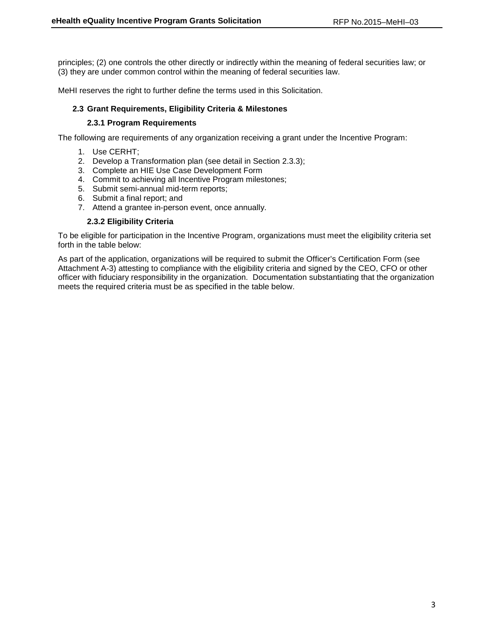principles; (2) one controls the other directly or indirectly within the meaning of federal securities law; or (3) they are under common control within the meaning of federal securities law.

MeHI reserves the right to further define the terms used in this Solicitation.

### **2.3 Grant Requirements, Eligibility Criteria & Milestones**

### **2.3.1 Program Requirements**

The following are requirements of any organization receiving a grant under the Incentive Program:

- 1. Use CERHT;
- 2. Develop a Transformation plan (see detail in Section 2.3.3);
- 3. Complete an HIE Use Case Development Form
- 4. Commit to achieving all Incentive Program milestones;
- 5. Submit semi-annual mid-term reports;
- 6. Submit a final report; and
- 7. Attend a grantee in-person event, once annually.

### **2.3.2 Eligibility Criteria**

To be eligible for participation in the Incentive Program, organizations must meet the eligibility criteria set forth in the table below:

As part of the application, organizations will be required to submit the Officer's Certification Form (see Attachment A-3) attesting to compliance with the eligibility criteria and signed by the CEO, CFO or other officer with fiduciary responsibility in the organization. Documentation substantiating that the organization meets the required criteria must be as specified in the table below.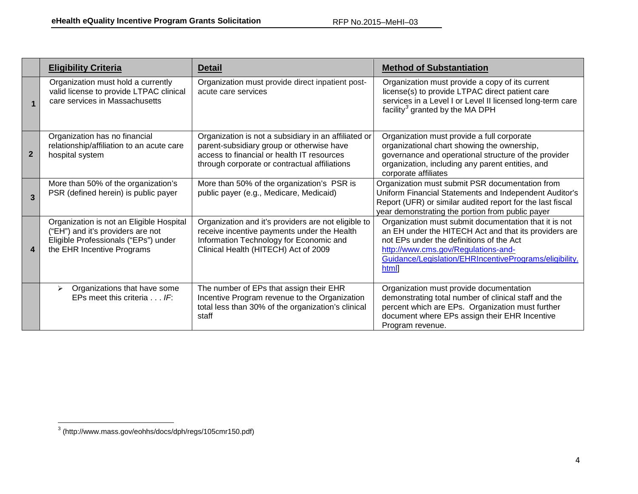<span id="page-4-0"></span>

|                | <b>Eligibility Criteria</b>                                                                                                                         | <b>Detail</b>                                                                                                                                                                                    | <b>Method of Substantiation</b>                                                                                                                                                                                                                                      |  |  |
|----------------|-----------------------------------------------------------------------------------------------------------------------------------------------------|--------------------------------------------------------------------------------------------------------------------------------------------------------------------------------------------------|----------------------------------------------------------------------------------------------------------------------------------------------------------------------------------------------------------------------------------------------------------------------|--|--|
|                | Organization must hold a currently<br>valid license to provide LTPAC clinical<br>care services in Massachusetts                                     | Organization must provide direct inpatient post-<br>acute care services                                                                                                                          | Organization must provide a copy of its current<br>license(s) to provide LTPAC direct patient care<br>services in a Level I or Level II licensed long-term care<br>facility <sup>3</sup> granted by the MA DPH                                                       |  |  |
| $\overline{2}$ | Organization has no financial<br>relationship/affiliation to an acute care<br>hospital system                                                       | Organization is not a subsidiary in an affiliated or<br>parent-subsidiary group or otherwise have<br>access to financial or health IT resources<br>through corporate or contractual affiliations | Organization must provide a full corporate<br>organizational chart showing the ownership,<br>governance and operational structure of the provider<br>organization, including any parent entities, and<br>corporate affiliates                                        |  |  |
| $\mathbf{R}$   | More than 50% of the organization's<br>PSR (defined herein) is public payer                                                                         | More than 50% of the organization's PSR is<br>public payer (e.g., Medicare, Medicaid)                                                                                                            | Organization must submit PSR documentation from<br>Uniform Financial Statements and Independent Auditor's<br>Report (UFR) or similar audited report for the last fiscal<br>year demonstrating the portion from public payer                                          |  |  |
| 4              | Organization is not an Eligible Hospital<br>("EH") and it's providers are not<br>Eligible Professionals ("EPs") under<br>the EHR Incentive Programs | Organization and it's providers are not eligible to<br>receive incentive payments under the Health<br>Information Technology for Economic and<br>Clinical Health (HITECH) Act of 2009            | Organization must submit documentation that it is not<br>an EH under the HITECH Act and that its providers are<br>not EPs under the definitions of the Act<br>http://www.cms.gov/Regulations-and-<br>Guidance/Legislation/EHRIncentivePrograms/eligibility.<br>htmll |  |  |
|                | Organizations that have some<br>$\blacktriangleright$<br>EPs meet this criteria $\ldots$ IF:                                                        | The number of EPs that assign their EHR<br>Incentive Program revenue to the Organization<br>total less than 30% of the organization's clinical<br>staff                                          | Organization must provide documentation<br>demonstrating total number of clinical staff and the<br>percent which are EPs. Organization must further<br>document where EPs assign their EHR Incentive<br>Program revenue.                                             |  |  |

<sup>3</sup> (http://www.mass.gov/eohhs/docs/dph/regs/105cmr150.pdf)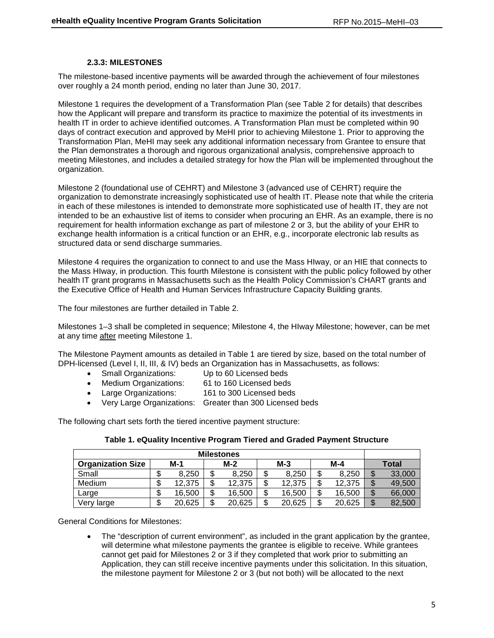### **2.3.3: MILESTONES**

The milestone-based incentive payments will be awarded through the achievement of four milestones over roughly a 24 month period, ending no later than June 30, 2017.

Milestone 1 requires the development of a Transformation Plan (see Table 2 for details) that describes how the Applicant will prepare and transform its practice to maximize the potential of its investments in health IT in order to achieve identified outcomes. A Transformation Plan must be completed within 90 days of contract execution and approved by MeHI prior to achieving Milestone 1. Prior to approving the Transformation Plan, MeHI may seek any additional information necessary from Grantee to ensure that the Plan demonstrates a thorough and rigorous organizational analysis, comprehensive approach to meeting Milestones, and includes a detailed strategy for how the Plan will be implemented throughout the organization.

Milestone 2 (foundational use of CEHRT) and Milestone 3 (advanced use of CEHRT) require the organization to demonstrate increasingly sophisticated use of health IT. Please note that while the criteria in each of these milestones is intended to demonstrate more sophisticated use of health IT, they are not intended to be an exhaustive list of items to consider when procuring an EHR. As an example, there is no requirement for health information exchange as part of milestone 2 or 3, but the ability of your EHR to exchange health information is a critical function or an EHR, e.g., incorporate electronic lab results as structured data or send discharge summaries.

Milestone 4 requires the organization to connect to and use the Mass HIway, or an HIE that connects to the Mass HIway, in production. This fourth Milestone is consistent with the public policy followed by other health IT grant programs in Massachusetts such as the Health Policy Commission's CHART grants and the Executive Office of Health and Human Services Infrastructure Capacity Building grants.

The four milestones are further detailed in Table 2.

Milestones 1–3 shall be completed in sequence; Milestone 4, the HIway Milestone; however, can be met at any time after meeting Milestone 1.

The Milestone Payment amounts as detailed in Table 1 are tiered by size, based on the total number of DPH-licensed (Level I, II, III, & IV) beds an Organization has in Massachusetts, as follows:

- Small Organizations: Up to 60 Licensed beds
- Medium Organizations: 61 to 160 Licensed beds
- Large Organizations: 161 to 300 Licensed beds
- Very Large Organizations: Greater than 300 Licensed beds

The following chart sets forth the tiered incentive payment structure:

| <b>Milestones</b>        |         |        |        |        |    |        |  |        |         |        |
|--------------------------|---------|--------|--------|--------|----|--------|--|--------|---------|--------|
| <b>Organization Size</b> |         | $M-1$  |        | $M-2$  |    | $M-3$  |  | $M-4$  |         | Total  |
| Small                    | J       | 8.250  | \$     | 8.250  | \$ | 8.250  |  | 8.250  | ጦ<br>۰D | 33,000 |
| <b>Medium</b>            | ጦ<br>۰D | 12.375 | ጦ<br>J | 12.375 | ቦ  | 12.375 |  | 12.375 | ጦ       | 49,500 |
| Large                    | ጦ<br>Φ  | 16.500 | \$     | 16.500 | ጦ  | 16,500 |  | 16,500 | œ       | 66,000 |
| Very large               | \$      | 20,625 | \$     | 20,625 | ጦ  | 20,625 |  | 20,625 | ¢       | 82,500 |

General Conditions for Milestones:

• The "description of current environment", as included in the grant application by the grantee, will determine what milestone payments the grantee is eligible to receive. While grantees cannot get paid for Milestones 2 or 3 if they completed that work prior to submitting an Application, they can still receive incentive payments under this solicitation. In this situation, the milestone payment for Milestone 2 or 3 (but not both) will be allocated to the next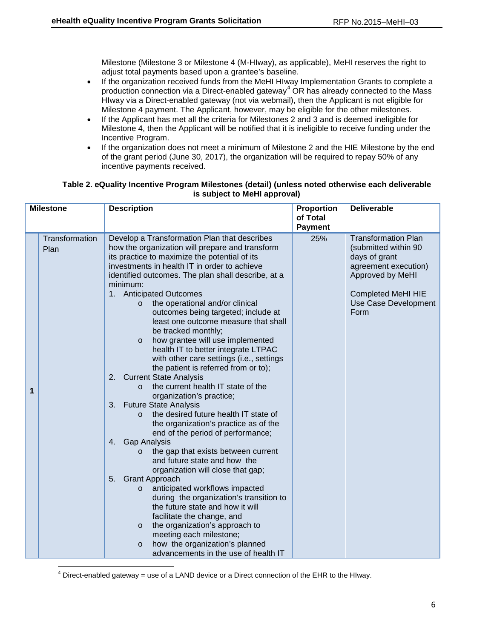Milestone (Milestone 3 or Milestone 4 (M-HIway), as applicable), MeHI reserves the right to adjust total payments based upon a grantee's baseline.

- If the organization received funds from the MeHI HIway Implementation Grants to complete a production connection via a Direct-enabled gateway<sup>[4](#page-6-0)</sup> OR has already connected to the Mass HIway via a Direct-enabled gateway (not via webmail), then the Applicant is not eligible for Milestone 4 payment. The Applicant, however, may be eligible for the other milestones.
- If the Applicant has met all the criteria for Milestones 2 and 3 and is deemed ineligible for Milestone 4, then the Applicant will be notified that it is ineligible to receive funding under the Incentive Program.
- If the organization does not meet a minimum of Milestone 2 and the HIE Milestone by the end of the grant period (June 30, 2017), the organization will be required to repay 50% of any incentive payments received.

### **Table 2. eQuality Incentive Program Milestones (detail) (unless noted otherwise each deliverable is subject to MeHI approval)**

| <b>Milestone</b> |                        | <b>Description</b>                                                                                                                                                                                                                                                                                                                                                                                                                                                                                                                                                                                                                                                                                                                                                                                                                                                                                                                                                                                                                                                                                                                                                                                                                                                                                                                                                                                                                              | Proportion<br>of Total | <b>Deliverable</b>                                                                                                                                                           |
|------------------|------------------------|-------------------------------------------------------------------------------------------------------------------------------------------------------------------------------------------------------------------------------------------------------------------------------------------------------------------------------------------------------------------------------------------------------------------------------------------------------------------------------------------------------------------------------------------------------------------------------------------------------------------------------------------------------------------------------------------------------------------------------------------------------------------------------------------------------------------------------------------------------------------------------------------------------------------------------------------------------------------------------------------------------------------------------------------------------------------------------------------------------------------------------------------------------------------------------------------------------------------------------------------------------------------------------------------------------------------------------------------------------------------------------------------------------------------------------------------------|------------------------|------------------------------------------------------------------------------------------------------------------------------------------------------------------------------|
|                  |                        |                                                                                                                                                                                                                                                                                                                                                                                                                                                                                                                                                                                                                                                                                                                                                                                                                                                                                                                                                                                                                                                                                                                                                                                                                                                                                                                                                                                                                                                 | <b>Payment</b>         |                                                                                                                                                                              |
| 1                | Transformation<br>Plan | Develop a Transformation Plan that describes<br>how the organization will prepare and transform<br>its practice to maximize the potential of its<br>investments in health IT in order to achieve<br>identified outcomes. The plan shall describe, at a<br>minimum:<br>1. Anticipated Outcomes<br>the operational and/or clinical<br>$\circ$<br>outcomes being targeted; include at<br>least one outcome measure that shall<br>be tracked monthly;<br>how grantee will use implemented<br>$\circ$<br>health IT to better integrate LTPAC<br>with other care settings (i.e., settings<br>the patient is referred from or to);<br><b>Current State Analysis</b><br>2.<br>the current health IT state of the<br>$\Omega$<br>organization's practice;<br><b>Future State Analysis</b><br>3.<br>the desired future health IT state of<br>$\Omega$<br>the organization's practice as of the<br>end of the period of performance;<br><b>Gap Analysis</b><br>4.<br>the gap that exists between current<br>$\circ$<br>and future state and how the<br>organization will close that gap;<br>5 <sub>1</sub><br><b>Grant Approach</b><br>anticipated workflows impacted<br>$\circ$<br>during the organization's transition to<br>the future state and how it will<br>facilitate the change, and<br>the organization's approach to<br>$\circ$<br>meeting each milestone;<br>how the organization's planned<br>$\circ$<br>advancements in the use of health IT | 25%                    | <b>Transformation Plan</b><br>(submitted within 90<br>days of grant<br>agreement execution)<br>Approved by MeHI<br><b>Completed MeHI HIE</b><br>Use Case Development<br>Form |

<span id="page-6-0"></span> $4$  Direct-enabled gateway = use of a LAND device or a Direct connection of the EHR to the HIway.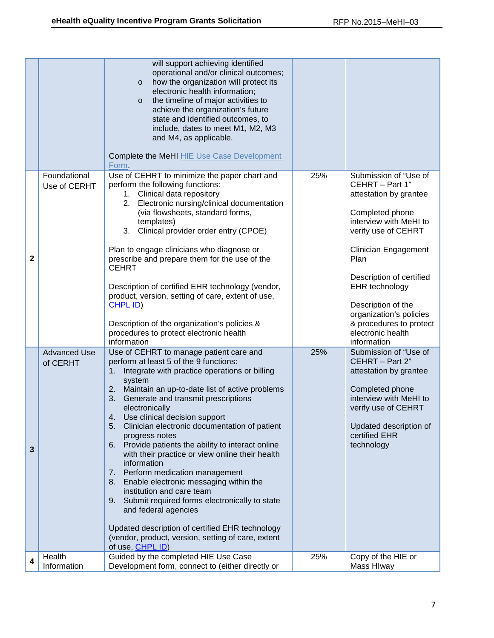|   |                                 | will support achieving identified<br>operational and/or clinical outcomes;<br>how the organization will protect its<br>$\circ$<br>electronic health information;<br>the timeline of major activities to<br>$\circ$<br>achieve the organization's future<br>state and identified outcomes, to<br>include, dates to meet M1, M2, M3<br>and M4, as applicable.<br>Complete the MeHI HIE Use Case Development                                                                                                                                                                                                                                                                                                                                                                                                                                      |     |                                                                                                                                                                                                                                                                                                                                             |
|---|---------------------------------|------------------------------------------------------------------------------------------------------------------------------------------------------------------------------------------------------------------------------------------------------------------------------------------------------------------------------------------------------------------------------------------------------------------------------------------------------------------------------------------------------------------------------------------------------------------------------------------------------------------------------------------------------------------------------------------------------------------------------------------------------------------------------------------------------------------------------------------------|-----|---------------------------------------------------------------------------------------------------------------------------------------------------------------------------------------------------------------------------------------------------------------------------------------------------------------------------------------------|
|   |                                 | Form.                                                                                                                                                                                                                                                                                                                                                                                                                                                                                                                                                                                                                                                                                                                                                                                                                                          |     |                                                                                                                                                                                                                                                                                                                                             |
| 2 | Foundational<br>Use of CERHT    | Use of CEHRT to minimize the paper chart and<br>perform the following functions:<br>1. Clinical data repository<br>Electronic nursing/clinical documentation<br>2.<br>(via flowsheets, standard forms,<br>templates)<br>3. Clinical provider order entry (CPOE)<br>Plan to engage clinicians who diagnose or<br>prescribe and prepare them for the use of the<br><b>CEHRT</b><br>Description of certified EHR technology (vendor,<br>product, version, setting of care, extent of use,<br>CHPL ID)<br>Description of the organization's policies &<br>procedures to protect electronic health<br>information                                                                                                                                                                                                                                   | 25% | Submission of "Use of<br>CEHRT - Part 1"<br>attestation by grantee<br>Completed phone<br>interview with MeHI to<br>verify use of CEHRT<br><b>Clinician Engagement</b><br>Plan<br>Description of certified<br>EHR technology<br>Description of the<br>organization's policies<br>& procedures to protect<br>electronic health<br>information |
| 3 | <b>Advanced Use</b><br>of CERHT | Use of CEHRT to manage patient care and<br>perform at least 5 of the 9 functions:<br>Integrate with practice operations or billing<br>$1_{\cdot}$<br>system<br>2. Maintain an up-to-date list of active problems<br>3. Generate and transmit prescriptions<br>electronically<br>4. Use clinical decision support<br>5. Clinician electronic documentation of patient<br>progress notes<br>6. Provide patients the ability to interact online<br>with their practice or view online their health<br>information<br>Perform medication management<br>7.<br>Enable electronic messaging within the<br>8.<br>institution and care team<br>Submit required forms electronically to state<br>9.<br>and federal agencies<br>Updated description of certified EHR technology<br>(vendor, product, version, setting of care, extent<br>of use, CHPL ID) | 25% | Submission of "Use of<br>CEHRT - Part 2"<br>attestation by grantee<br>Completed phone<br>interview with MeHI to<br>verify use of CEHRT<br>Updated description of<br>certified EHR<br>technology                                                                                                                                             |
| 4 | Health<br>Information           | Guided by the completed HIE Use Case<br>Development form, connect to (either directly or                                                                                                                                                                                                                                                                                                                                                                                                                                                                                                                                                                                                                                                                                                                                                       | 25% | Copy of the HIE or<br>Mass Hlway                                                                                                                                                                                                                                                                                                            |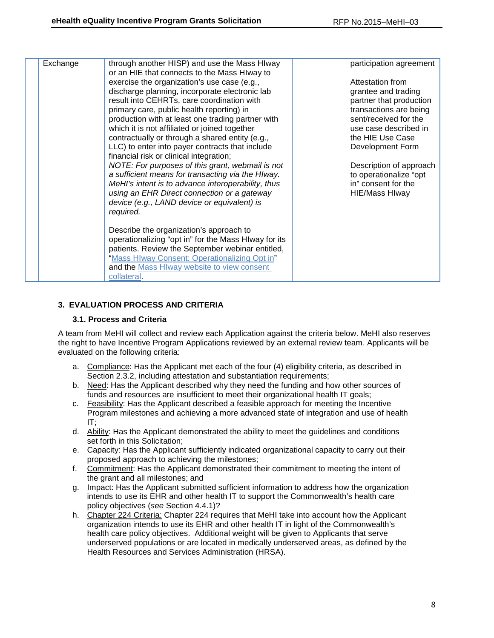| Exchange | through another HISP) and use the Mass HIway<br>or an HIE that connects to the Mass HIway to          | participation agreement                       |
|----------|-------------------------------------------------------------------------------------------------------|-----------------------------------------------|
|          | exercise the organization's use case (e.g.,                                                           | Attestation from                              |
|          | discharge planning, incorporate electronic lab                                                        | grantee and trading                           |
|          | result into CEHRTs, care coordination with                                                            | partner that production                       |
|          | primary care, public health reporting) in                                                             | transactions are being                        |
|          | production with at least one trading partner with                                                     | sent/received for the                         |
|          | which it is not affiliated or joined together                                                         | use case described in                         |
|          | contractually or through a shared entity (e.g.,                                                       | the HIE Use Case                              |
|          | LLC) to enter into payer contracts that include                                                       | Development Form                              |
|          | financial risk or clinical integration;                                                               |                                               |
|          | NOTE: For purposes of this grant, webmail is not<br>a sufficient means for transacting via the HIway. | Description of approach                       |
|          | MeHI's intent is to advance interoperability, thus                                                    | to operationalize "opt<br>in" consent for the |
|          | using an EHR Direct connection or a gateway                                                           | <b>HIE/Mass HIway</b>                         |
|          | device (e.g., LAND device or equivalent) is                                                           |                                               |
|          | required.                                                                                             |                                               |
|          |                                                                                                       |                                               |
|          | Describe the organization's approach to                                                               |                                               |
|          | operationalizing "opt in" for the Mass HIway for its                                                  |                                               |
|          | patients. Review the September webinar entitled,                                                      |                                               |
|          | "Mass HIway Consent: Operationalizing Opt in"                                                         |                                               |
|          | and the Mass Hlway website to view consent                                                            |                                               |
|          | collateral.                                                                                           |                                               |

### **3. EVALUATION PROCESS AND CRITERIA**

### **3.1. Process and Criteria**

A team from MeHI will collect and review each Application against the criteria below. MeHI also reserves the right to have Incentive Program Applications reviewed by an external review team. Applicants will be evaluated on the following criteria:

- a. Compliance: Has the Applicant met each of the four (4) eligibility criteria, as described in Section 2.3.2, including attestation and substantiation requirements;
- b. Need: Has the Applicant described why they need the funding and how other sources of funds and resources are insufficient to meet their organizational health IT goals;
- c. Feasibility: Has the Applicant described a feasible approach for meeting the Incentive Program milestones and achieving a more advanced state of integration and use of health IT;
- d. Ability: Has the Applicant demonstrated the ability to meet the guidelines and conditions set forth in this Solicitation:
- e. Capacity: Has the Applicant sufficiently indicated organizational capacity to carry out their proposed approach to achieving the milestones;
- f. Commitment: Has the Applicant demonstrated their commitment to meeting the intent of the grant and all milestones; and
- g. Impact: Has the Applicant submitted sufficient information to address how the organization intends to use its EHR and other health IT to support the Commonwealth's health care policy objectives (*see* Section 4.4.1)?
- h. Chapter 224 Criteria: Chapter 224 requires that MeHI take into account how the Applicant organization intends to use its EHR and other health IT in light of the Commonwealth's health care policy objectives. Additional weight will be given to Applicants that serve underserved populations or are located in medically underserved areas, as defined by the Health Resources and Services Administration (HRSA).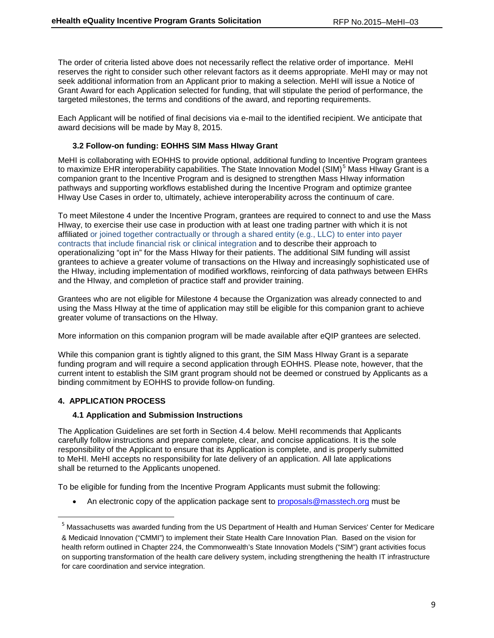The order of criteria listed above does not necessarily reflect the relative order of importance. MeHI reserves the right to consider such other relevant factors as it deems appropriate. MeHI may or may not seek additional information from an Applicant prior to making a selection. MeHI will issue a Notice of Grant Award for each Application selected for funding, that will stipulate the period of performance, the targeted milestones, the terms and conditions of the award, and reporting requirements.

Each Applicant will be notified of final decisions via e-mail to the identified recipient. We anticipate that award decisions will be made by May 8, 2015.

### **3.2 Follow-on funding: EOHHS SIM Mass HIway Grant**

MeHI is collaborating with EOHHS to provide optional, additional funding to Incentive Program grantees to maximize EHR interoperability capabilities. The State Innovation Model (SIM)<sup>[5](#page-9-0)</sup> Mass HIway Grant is a companion grant to the Incentive Program and is designed to strengthen Mass HIway information pathways and supporting workflows established during the Incentive Program and optimize grantee HIway Use Cases in order to, ultimately, achieve interoperability across the continuum of care.

To meet Milestone 4 under the Incentive Program, grantees are required to connect to and use the Mass HIway, to exercise their use case in production with at least one trading partner with which it is not affiliated or joined together contractually or through a shared entity (e.g., LLC) to enter into payer contracts that include financial risk or clinical integration and to describe their approach to operationalizing "opt in" for the Mass HIway for their patients. The additional SIM funding will assist grantees to achieve a greater volume of transactions on the HIway and increasingly sophisticated use of the HIway, including implementation of modified workflows, reinforcing of data pathways between EHRs and the HIway, and completion of practice staff and provider training.

Grantees who are not eligible for Milestone 4 because the Organization was already connected to and using the Mass HIway at the time of application may still be eligible for this companion grant to achieve greater volume of transactions on the HIway.

More information on this companion program will be made available after eQIP grantees are selected.

While this companion grant is tightly aligned to this grant, the SIM Mass HIway Grant is a separate funding program and will require a second application through EOHHS. Please note, however, that the current intent to establish the SIM grant program should not be deemed or construed by Applicants as a binding commitment by EOHHS to provide follow-on funding.

### **4. APPLICATION PROCESS**

### **4.1 Application and Submission Instructions**

The Application Guidelines are set forth in Section 4.4 below. MeHI recommends that Applicants carefully follow instructions and prepare complete, clear, and concise applications. It is the sole responsibility of the Applicant to ensure that its Application is complete, and is properly submitted to MeHI. MeHI accepts no responsibility for late delivery of an application. All late applications shall be returned to the Applicants unopened.

To be eligible for funding from the Incentive Program Applicants must submit the following:

• An electronic copy of the application package sent to [proposals@masstech.org](mailto:proposals@masstech.org) must be

<span id="page-9-0"></span><sup>&</sup>lt;sup>5</sup> Massachusetts was awarded funding from the US Department of Health and Human Services' Center for Medicare & Medicaid Innovation ("CMMI") to implement their State Health Care Innovation Plan. Based on the vision for health reform outlined in Chapter 224, the Commonwealth's State Innovation Models ("SIM") grant activities focus on supporting transformation of the health care delivery system, including strengthening the health IT infrastructure for care coordination and service integration.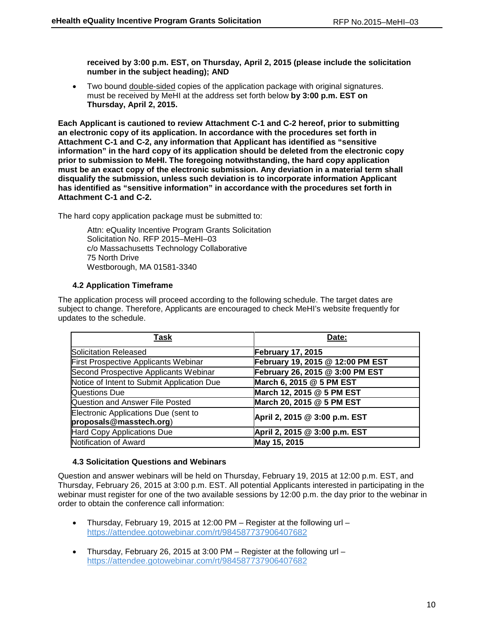**received by 3:00 p.m. EST, on Thursday, April 2, 2015 (please include the solicitation number in the subject heading); AND**

• Two bound double-sided copies of the application package with original signatures. must be received by MeHI at the address set forth below **by 3:00 p.m. EST on Thursday, April 2, 2015.**

**Each Applicant is cautioned to review Attachment C-1 and C-2 hereof, prior to submitting an electronic copy of its application. In accordance with the procedures set forth in Attachment C-1 and C-2, any information that Applicant has identified as "sensitive information" in the hard copy of its application should be deleted from the electronic copy prior to submission to MeHI. The foregoing notwithstanding, the hard copy application must be an exact copy of the electronic submission. Any deviation in a material term shall disqualify the submission, unless such deviation is to incorporate information Applicant has identified as "sensitive information" in accordance with the procedures set forth in Attachment C-1 and C-2.**

The hard copy application package must be submitted to:

Attn: eQuality Incentive Program Grants Solicitation Solicitation No. RFP 2015–MeHI–03 c/o Massachusetts Technology Collaborative 75 North Drive Westborough, MA 01581-3340

## **4.2 Application Timeframe**

The application process will proceed according to the following schedule. The target dates are subject to change. Therefore, Applicants are encouraged to check MeHI's website frequently for updates to the schedule.

| Task                                                            | Date:                            |
|-----------------------------------------------------------------|----------------------------------|
| Solicitation Released                                           | <b>February 17, 2015</b>         |
| <b>First Prospective Applicants Webinar</b>                     | February 19, 2015 @ 12:00 PM EST |
| Second Prospective Applicants Webinar                           | February 26, 2015 @ 3:00 PM EST  |
| Notice of Intent to Submit Application Due                      | March 6, 2015 @ 5 PM EST         |
| <b>Questions Due</b>                                            | March 12, 2015 @ 5 PM EST        |
| Question and Answer File Posted                                 | March 20, 2015 @ 5 PM EST        |
| Electronic Applications Due (sent to<br>proposals@masstech.org) | April 2, 2015 @ 3:00 p.m. EST    |
| Hard Copy Applications Due                                      | April 2, 2015 @ 3:00 p.m. EST    |
| Notification of Award                                           | May 15, 2015                     |

### **4.3 Solicitation Questions and Webinars**

Question and answer webinars will be held on Thursday, February 19, 2015 at 12:00 p.m. EST, and Thursday, February 26, 2015 at 3:00 p.m. EST. All potential Applicants interested in participating in the webinar must register for one of the two available sessions by 12:00 p.m. the day prior to the webinar in order to obtain the conference call information:

- Thursday, February 19, 2015 at 12:00 PM Register at the following url <https://attendee.gotowebinar.com/rt/984587737906407682>
- Thursday, February 26, 2015 at 3:00 PM Register at the following url <https://attendee.gotowebinar.com/rt/984587737906407682>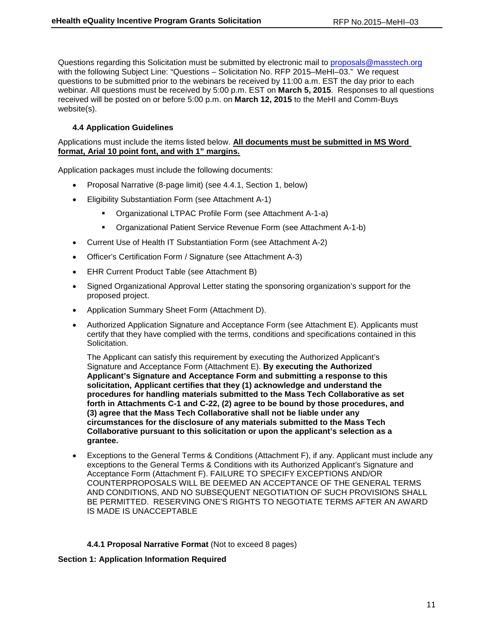Questions regarding this Solicitation must be submitted by electronic mail to [proposals@masstech.org](mailto:proposals@masstech.org) with the following Subject Line: "Questions – Solicitation No. RFP 2015–MeHI–03." We request questions to be submitted prior to the webinars be received by 11:00 a.m. EST the day prior to each webinar*.* All questions must be received by 5:00 p.m. EST on **March 5, 2015**. Responses to all questions received will be posted on or before 5:00 p.m. on **March 12, 2015** to the MeHI and Comm-Buys website(s).

### **4.4 Application Guidelines**

Applications must include the items listed below. **All documents must be submitted in MS Word format, Arial 10 point font, and with 1" margins.**

Application packages must include the following documents:

- Proposal Narrative (8-page limit) (see 4.4.1, Section 1, below)
- Eligibility Substantiation Form (see Attachment A-1)
	- Organizational LTPAC Profile Form (see Attachment A-1-a)
	- Organizational Patient Service Revenue Form (see Attachment A-1-b)
- Current Use of Health IT Substantiation Form (see Attachment A-2)
- Officer's Certification Form / Signature (see Attachment A-3)
- EHR Current Product Table (see Attachment B)
- Signed Organizational Approval Letter stating the sponsoring organization's support for the proposed project.
- Application Summary Sheet Form (Attachment D).
- Authorized Application Signature and Acceptance Form (see Attachment E). Applicants must certify that they have complied with the terms, conditions and specifications contained in this Solicitation.

The Applicant can satisfy this requirement by executing the Authorized Applicant's Signature and Acceptance Form (Attachment E). **By executing the Authorized Applicant's Signature and Acceptance Form and submitting a response to this solicitation, Applicant certifies that they (1) acknowledge and understand the procedures for handling materials submitted to the Mass Tech Collaborative as set forth in Attachments C-1 and C-22, (2) agree to be bound by those procedures, and (3) agree that the Mass Tech Collaborative shall not be liable under any circumstances for the disclosure of any materials submitted to the Mass Tech Collaborative pursuant to this solicitation or upon the applicant's selection as a grantee.**

• Exceptions to the General Terms & Conditions (Attachment F), if any. Applicant must include any exceptions to the General Terms & Conditions with its Authorized Applicant's Signature and Acceptance Form (Attachment F). FAILURE TO SPECIFY EXCEPTIONS AND/OR COUNTERPROPOSALS WILL BE DEEMED AN ACCEPTANCE OF THE GENERAL TERMS AND CONDITIONS, AND NO SUBSEQUENT NEGOTIATION OF SUCH PROVISIONS SHALL BE PERMITTED. RESERVING ONE'S RIGHTS TO NEGOTIATE TERMS AFTER AN AWARD IS MADE IS UNACCEPTABLE

### **4.4.1 Proposal Narrative Format** (Not to exceed 8 pages)

### **Section 1: Application Information Required**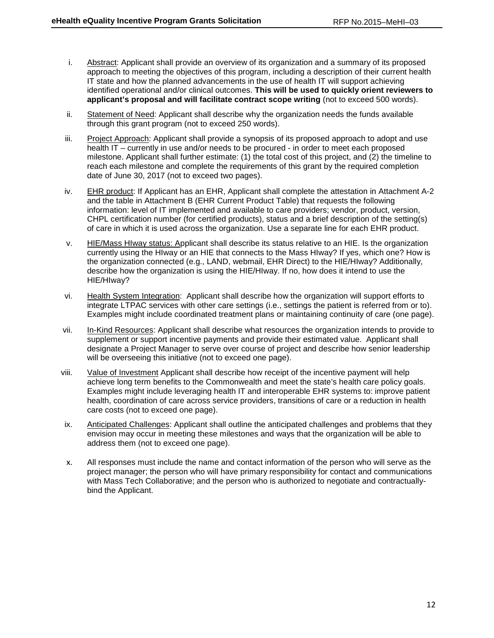- i. Abstract: Applicant shall provide an overview of its organization and a summary of its proposed approach to meeting the objectives of this program, including a description of their current health IT state and how the planned advancements in the use of health IT will support achieving identified operational and/or clinical outcomes. **This will be used to quickly orient reviewers to applicant's proposal and will facilitate contract scope writing** (not to exceed 500 words).
- ii. Statement of Need: Applicant shall describe why the organization needs the funds available through this grant program (not to exceed 250 words).
- iii. Project Approach: Applicant shall provide a synopsis of its proposed approach to adopt and use health IT – currently in use and/or needs to be procured - in order to meet each proposed milestone. Applicant shall further estimate: (1) the total cost of this project, and (2) the timeline to reach each milestone and complete the requirements of this grant by the required completion date of June 30, 2017 (not to exceed two pages).
- iv. EHR product: If Applicant has an EHR, Applicant shall complete the attestation in Attachment A-2 and the table in Attachment B (EHR Current Product Table) that requests the following information: level of IT implemented and available to care providers; vendor, product, version, CHPL certification number (for certified products), status and a brief description of the setting(s) of care in which it is used across the organization. Use a separate line for each EHR product.
- v. HIE/Mass HIway status: Applicant shall describe its status relative to an HIE. Is the organization currently using the HIway or an HIE that connects to the Mass HIway? If yes, which one? How is the organization connected (e.g., LAND, webmail, EHR Direct) to the HIE/HIway? Additionally, describe how the organization is using the HIE/HIway. If no, how does it intend to use the HIE/HIway?
- vi. Health System Integration: Applicant shall describe how the organization will support efforts to integrate LTPAC services with other care settings (i.e., settings the patient is referred from or to). Examples might include coordinated treatment plans or maintaining continuity of care (one page).
- vii. In-Kind Resources: Applicant shall describe what resources the organization intends to provide to supplement or support incentive payments and provide their estimated value. Applicant shall designate a Project Manager to serve over course of project and describe how senior leadership will be overseeing this initiative (not to exceed one page).
- viii. Value of Investment Applicant shall describe how receipt of the incentive payment will help achieve long term benefits to the Commonwealth and meet the state's health care policy goals. Examples might include leveraging health IT and interoperable EHR systems to: improve patient health, coordination of care across service providers, transitions of care or a reduction in health care costs (not to exceed one page).
- ix. Anticipated Challenges: Applicant shall outline the anticipated challenges and problems that they envision may occur in meeting these milestones and ways that the organization will be able to address them (not to exceed one page).
- x. All responses must include the name and contact information of the person who will serve as the project manager; the person who will have primary responsibility for contact and communications with Mass Tech Collaborative; and the person who is authorized to negotiate and contractuallybind the Applicant.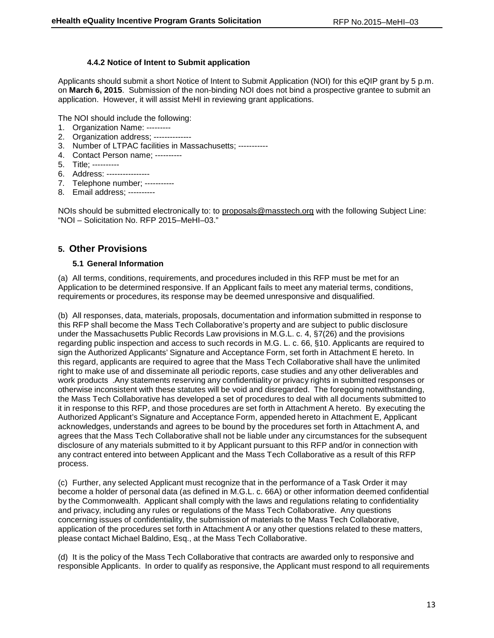### **4.4.2 Notice of Intent to Submit application**

Applicants should submit a short Notice of Intent to Submit Application (NOI) for this eQIP grant by 5 p.m. on **March 6, 2015**. Submission of the non-binding NOI does not bind a prospective grantee to submit an application. However, it will assist MeHI in reviewing grant applications.

The NOI should include the following:

- 1. Organization Name: ---------
- 2. Organization address; --------------
- 3. Number of LTPAC facilities in Massachusetts; -----------
- 4. Contact Person name; ----------
- 5. Title; ----------
- 6. Address: ----------------
- 7. Telephone number; -----------
- 8. Email address; ----------

NOIs should be submitted electronically to: to [proposals@masstech.org](mailto:proposals@masstech.org) with the following Subject Line: "NOI – Solicitation No. RFP 2015–MeHI–03."

## **5. Other Provisions**

### **5.1 General Information**

(a) All terms, conditions, requirements, and procedures included in this RFP must be met for an Application to be determined responsive. If an Applicant fails to meet any material terms, conditions, requirements or procedures, its response may be deemed unresponsive and disqualified.

(b) All responses, data, materials, proposals, documentation and information submitted in response to this RFP shall become the Mass Tech Collaborative's property and are subject to public disclosure under the Massachusetts Public Records Law provisions in M.G.L. c. 4, §7(26) and the provisions regarding public inspection and access to such records in M.G. L. c. 66, §10. Applicants are required to sign the Authorized Applicants' Signature and Acceptance Form, set forth in Attachment E hereto. In this regard, applicants are required to agree that the Mass Tech Collaborative shall have the unlimited right to make use of and disseminate all periodic reports, case studies and any other deliverables and work products .Any statements reserving any confidentiality or privacy rights in submitted responses or otherwise inconsistent with these statutes will be void and disregarded. The foregoing notwithstanding, the Mass Tech Collaborative has developed a set of procedures to deal with all documents submitted to it in response to this RFP, and those procedures are set forth in Attachment A hereto. By executing the Authorized Applicant's Signature and Acceptance Form, appended hereto in Attachment E, Applicant acknowledges, understands and agrees to be bound by the procedures set forth in Attachment A, and agrees that the Mass Tech Collaborative shall not be liable under any circumstances for the subsequent disclosure of any materials submitted to it by Applicant pursuant to this RFP and/or in connection with any contract entered into between Applicant and the Mass Tech Collaborative as a result of this RFP process.

(c) Further, any selected Applicant must recognize that in the performance of a Task Order it may become a holder of personal data (as defined in M.G.L. c. 66A) or other information deemed confidential by the Commonwealth. Applicant shall comply with the laws and regulations relating to confidentiality and privacy, including any rules or regulations of the Mass Tech Collaborative. Any questions concerning issues of confidentiality, the submission of materials to the Mass Tech Collaborative, application of the procedures set forth in Attachment A or any other questions related to these matters, please contact Michael Baldino, Esq., at the Mass Tech Collaborative.

(d) It is the policy of the Mass Tech Collaborative that contracts are awarded only to responsive and responsible Applicants. In order to qualify as responsive, the Applicant must respond to all requirements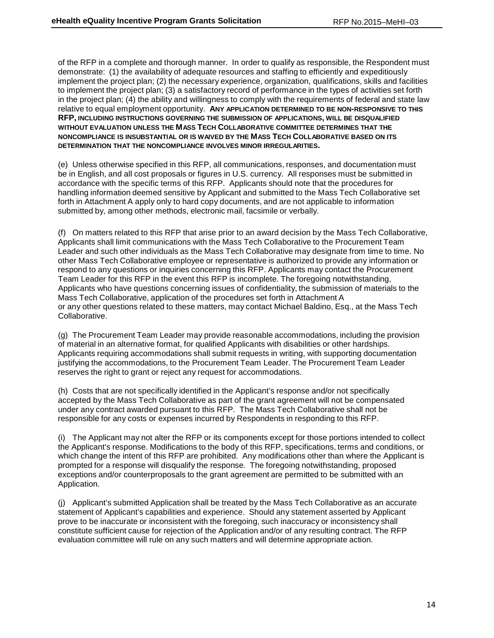of the RFP in a complete and thorough manner. In order to qualify as responsible, the Respondent must demonstrate: (1) the availability of adequate resources and staffing to efficiently and expeditiously implement the project plan; (2) the necessary experience, organization, qualifications, skills and facilities to implement the project plan; (3) a satisfactory record of performance in the types of activities set forth in the project plan; (4) the ability and willingness to comply with the requirements of federal and state law relative to equal employment opportunity. **ANY APPLICATION DETERMINED TO BE NON-RESPONSIVE TO THIS RFP, INCLUDING INSTRUCTIONS GOVERNING THE SUBMISSION OF APPLICATIONS, WILL BE DISQUALIFIED WITHOUT EVALUATION UNLESS THE MASS TECH COLLABORATIVE COMMITTEE DETERMINES THAT THE NONCOMPLIANCE IS INSUBSTANTIAL OR IS WAIVED BY THE MASS TECH COLLABORATIVE BASED ON ITS DETERMINATION THAT THE NONCOMPLIANCE INVOLVES MINOR IRREGULARITIES.**

(e) Unless otherwise specified in this RFP, all communications, responses, and documentation must be in English, and all cost proposals or figures in U.S. currency. All responses must be submitted in accordance with the specific terms of this RFP. Applicants should note that the procedures for handling information deemed sensitive by Applicant and submitted to the Mass Tech Collaborative set forth in Attachment A apply only to hard copy documents, and are not applicable to information submitted by, among other methods, electronic mail, facsimile or verbally.

(f) On matters related to this RFP that arise prior to an award decision by the Mass Tech Collaborative, Applicants shall limit communications with the Mass Tech Collaborative to the Procurement Team Leader and such other individuals as the Mass Tech Collaborative may designate from time to time. No other Mass Tech Collaborative employee or representative is authorized to provide any information or respond to any questions or inquiries concerning this RFP. Applicants may contact the Procurement Team Leader for this RFP in the event this RFP is incomplete. The foregoing notwithstanding, Applicants who have questions concerning issues of confidentiality, the submission of materials to the Mass Tech Collaborative, application of the procedures set forth in Attachment A or any other questions related to these matters, may contact Michael Baldino, Esq., at the Mass Tech Collaborative.

(g) The Procurement Team Leader may provide reasonable accommodations, including the provision of material in an alternative format, for qualified Applicants with disabilities or other hardships. Applicants requiring accommodations shall submit requests in writing, with supporting documentation justifying the accommodations, to the Procurement Team Leader. The Procurement Team Leader reserves the right to grant or reject any request for accommodations.

(h) Costs that are not specifically identified in the Applicant's response and/or not specifically accepted by the Mass Tech Collaborative as part of the grant agreement will not be compensated under any contract awarded pursuant to this RFP. The Mass Tech Collaborative shall not be responsible for any costs or expenses incurred by Respondents in responding to this RFP.

(i) The Applicant may not alter the RFP or its components except for those portions intended to collect the Applicant's response. Modifications to the body of this RFP, specifications, terms and conditions, or which change the intent of this RFP are prohibited. Any modifications other than where the Applicant is prompted for a response will disqualify the response. The foregoing notwithstanding, proposed exceptions and/or counterproposals to the grant agreement are permitted to be submitted with an Application.

(j) Applicant's submitted Application shall be treated by the Mass Tech Collaborative as an accurate statement of Applicant's capabilities and experience. Should any statement asserted by Applicant prove to be inaccurate or inconsistent with the foregoing, such inaccuracy or inconsistency shall constitute sufficient cause for rejection of the Application and/or of any resulting contract. The RFP evaluation committee will rule on any such matters and will determine appropriate action.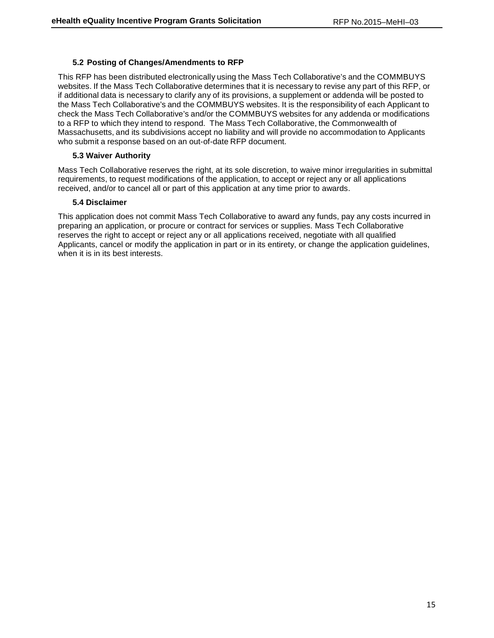### **5.2 Posting of Changes/Amendments to RFP**

This RFP has been distributed electronically using the Mass Tech Collaborative's and the COMMBUYS websites. If the Mass Tech Collaborative determines that it is necessary to revise any part of this RFP, or if additional data is necessary to clarify any of its provisions, a supplement or addenda will be posted to the Mass Tech Collaborative's and the COMMBUYS websites. It is the responsibility of each Applicant to check the Mass Tech Collaborative's and/or the COMMBUYS websites for any addenda or modifications to a RFP to which they intend to respond. The Mass Tech Collaborative, the Commonwealth of Massachusetts, and its subdivisions accept no liability and will provide no accommodation to Applicants who submit a response based on an out-of-date RFP document.

### **5.3 Waiver Authority**

Mass Tech Collaborative reserves the right, at its sole discretion, to waive minor irregularities in submittal requirements, to request modifications of the application, to accept or reject any or all applications received, and/or to cancel all or part of this application at any time prior to awards.

### **5.4 Disclaimer**

This application does not commit Mass Tech Collaborative to award any funds, pay any costs incurred in preparing an application, or procure or contract for services or supplies. Mass Tech Collaborative reserves the right to accept or reject any or all applications received, negotiate with all qualified Applicants, cancel or modify the application in part or in its entirety, or change the application guidelines, when it is in its best interests.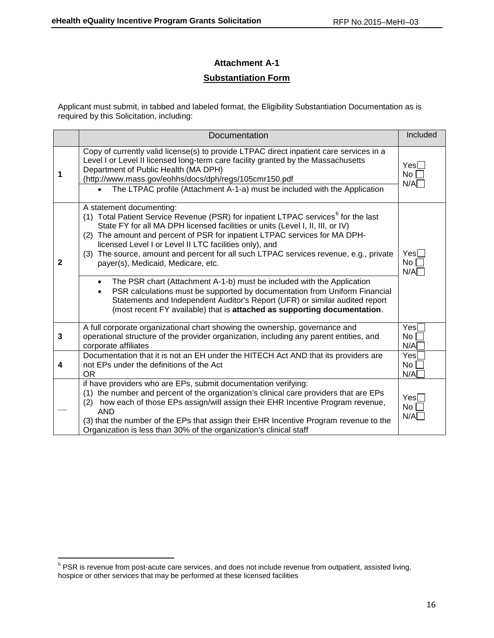## **Attachment A-1**

## **Substantiation Form**

Applicant must submit, in tabbed and labeled format, the Eligibility Substantiation Documentation as is required by this Solicitation, including:

|              | Documentation                                                                                                                                                                                                                                                                                                                                                                                                                                                                                                                                                                                                                                                                                                                                                                                          | Included                                   |
|--------------|--------------------------------------------------------------------------------------------------------------------------------------------------------------------------------------------------------------------------------------------------------------------------------------------------------------------------------------------------------------------------------------------------------------------------------------------------------------------------------------------------------------------------------------------------------------------------------------------------------------------------------------------------------------------------------------------------------------------------------------------------------------------------------------------------------|--------------------------------------------|
| 1            | Copy of currently valid license(s) to provide LTPAC direct inpatient care services in a<br>Level I or Level II licensed long-term care facility granted by the Massachusetts<br>Department of Public Health (MA DPH)<br>(http://www.mass.gov/eohhs/docs/dph/regs/105cmr150.pdf<br>The LTPAC profile (Attachment A-1-a) must be included with the Application                                                                                                                                                                                                                                                                                                                                                                                                                                           | $Yes\Box$<br>No <sub>1</sub><br>N/A        |
| $\mathbf{2}$ | A statement documenting:<br>(1) Total Patient Service Revenue (PSR) for inpatient LTPAC services <sup>6</sup> for the last<br>State FY for all MA DPH licensed facilities or units (Level I, II, III, or IV)<br>(2) The amount and percent of PSR for inpatient LTPAC services for MA DPH-<br>licensed Level I or Level II LTC facilities only), and<br>(3) The source, amount and percent for all such LTPAC services revenue, e.g., private<br>payer(s), Medicaid, Medicare, etc.<br>The PSR chart (Attachment A-1-b) must be included with the Application<br>PSR calculations must be supported by documentation from Uniform Financial<br>Statements and Independent Auditor's Report (UFR) or similar audited report<br>(most recent FY available) that is attached as supporting documentation. | Yes<br>No <sub>1</sub><br>N/A              |
| 3            | A full corporate organizational chart showing the ownership, governance and<br>operational structure of the provider organization, including any parent entities, and<br>corporate affiliates                                                                                                                                                                                                                                                                                                                                                                                                                                                                                                                                                                                                          | Yesl<br>No <sub>1</sub><br>N/A             |
| 4            | Documentation that it is not an EH under the HITECH Act AND that its providers are<br>not EPs under the definitions of the Act<br><b>OR</b>                                                                                                                                                                                                                                                                                                                                                                                                                                                                                                                                                                                                                                                            | Yes[<br>No<br>N/A                          |
|              | if have providers who are EPs, submit documentation verifying:<br>(1) the number and percent of the organization's clinical care providers that are EPs<br>how each of those EPs assign/will assign their EHR Incentive Program revenue,<br>(2)<br><b>AND</b><br>(3) that the number of the EPs that assign their EHR Incentive Program revenue to the<br>Organization is less than 30% of the organization's clinical staff                                                                                                                                                                                                                                                                                                                                                                           | Yes <sub>1</sub><br>No <sub>1</sub><br>N/A |

<span id="page-16-0"></span> $6$  PSR is revenue from post-acute care services, and does not include revenue from outpatient, assisted living, hospice or other services that may be performed at these licensed facilities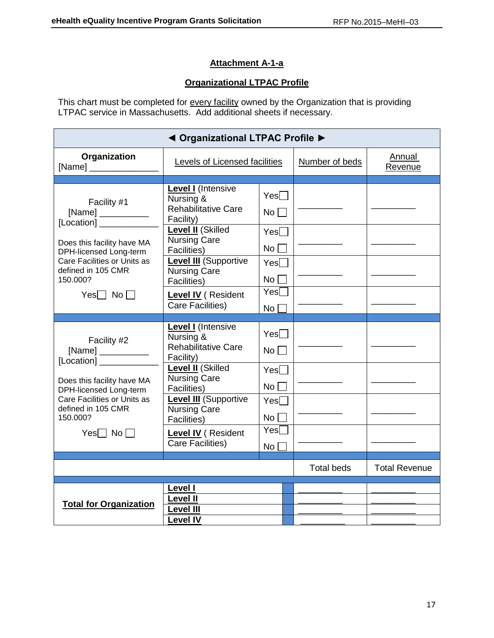## **Attachment A-1-a**

## **Organizational LTPAC Profile**

This chart must be completed for <u>every facility</u> owned by the Organization that is providing LTPAC service in Massachusetts. Add additional sheets if necessary.

| ◀ Organizational LTPAC Profile ▶                     |                                                                                   |                               |                   |                      |  |
|------------------------------------------------------|-----------------------------------------------------------------------------------|-------------------------------|-------------------|----------------------|--|
| Organization<br>[Name] $\frac{1}{2}$                 | Levels of Licensed facilities                                                     |                               | Number of beds    | Annual<br>Revenue    |  |
|                                                      |                                                                                   |                               |                   |                      |  |
| Facility #1                                          | <b>Level I</b> (Intensive<br>Nursing &<br><b>Rehabilitative Care</b><br>Facility) | $Yes \Box$<br>$No \Box$       |                   |                      |  |
|                                                      | <b>Level II</b> (Skilled<br><b>Nursing Care</b>                                   | $Yes \Box$                    |                   |                      |  |
| Does this facility have MA<br>DPH-licensed Long-term | <b>Facilities</b> )                                                               | No <sub>l</sub>               |                   |                      |  |
| Care Facilities or Units as<br>defined in 105 CMR    | <b>Level III</b> (Supportive<br><b>Nursing Care</b>                               | $Yes \Box$                    |                   |                      |  |
| 150.000?                                             | Facilities)                                                                       | No <sub>1</sub>               |                   |                      |  |
| $Yes \Box No \Box$                                   | <b>Level IV</b> (Resident                                                         | Yes                           |                   |                      |  |
|                                                      | Care Facilities)                                                                  | No l                          |                   |                      |  |
|                                                      |                                                                                   |                               |                   |                      |  |
| Facility #2<br>[Location] ________                   | <b>Level I</b> (Intensive<br>Nursing &<br><b>Rehabilitative Care</b><br>Facility) | Yes<br>$No \square$           |                   |                      |  |
| Does this facility have MA<br>DPH-licensed Long-term | Level II (Skilled<br><b>Nursing Care</b><br>Facilities)                           | $Yes \Box$<br>No <sub>l</sub> |                   |                      |  |
| Care Facilities or Units as<br>defined in 105 CMR    | <b>Level III</b> (Supportive<br><b>Nursing Care</b>                               | Yes                           |                   |                      |  |
| 150.000?                                             | <b>Facilities</b> )                                                               | No <sub>l</sub>               |                   |                      |  |
| Yes $\Box$ No $\Box$                                 | <b>Level IV</b> (Resident                                                         | Yes                           |                   |                      |  |
| <b>Care Facilities)</b>                              |                                                                                   | No <sub>1</sub>               |                   |                      |  |
|                                                      |                                                                                   |                               |                   |                      |  |
|                                                      |                                                                                   |                               | <b>Total beds</b> | <b>Total Revenue</b> |  |
|                                                      | Level I                                                                           |                               |                   |                      |  |
|                                                      | <b>Level II</b>                                                                   |                               |                   |                      |  |
| <b>Total for Organization</b>                        | <b>Level III</b>                                                                  |                               |                   |                      |  |
|                                                      | <b>Level IV</b>                                                                   |                               |                   |                      |  |
|                                                      |                                                                                   |                               |                   |                      |  |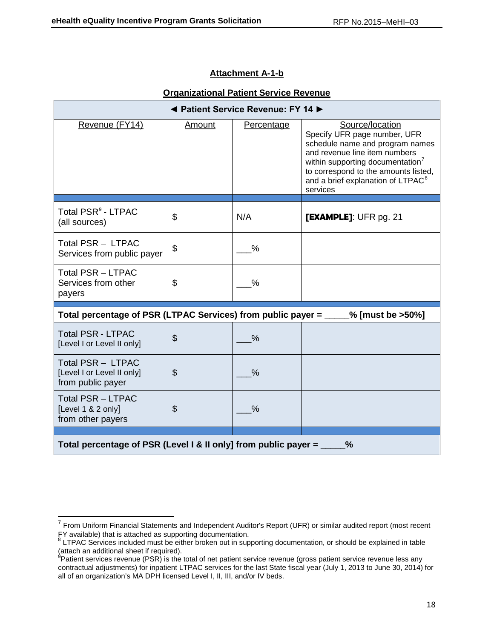## **Attachment A-1-b**

| <b>Organizational Patient Service Revenue</b> |  |  |
|-----------------------------------------------|--|--|
|                                               |  |  |

| ◀ Patient Service Revenue: FY 14 ▶                                               |                           |                   |                                                                                                                                                                                                                                                                          |  |  |  |
|----------------------------------------------------------------------------------|---------------------------|-------------------|--------------------------------------------------------------------------------------------------------------------------------------------------------------------------------------------------------------------------------------------------------------------------|--|--|--|
| Revenue (FY14)                                                                   | <u>Amount</u>             | <b>Percentage</b> | Source/location<br>Specify UFR page number, UFR<br>schedule name and program names<br>and revenue line item numbers<br>within supporting documentation <sup>7</sup><br>to correspond to the amounts listed,<br>and a brief explanation of LTPAC <sup>8</sup><br>services |  |  |  |
| Total PSR <sup>9</sup> - LTPAC<br>(all sources)                                  | \$                        | N/A               | [EXAMPLE]: UFR pg. 21                                                                                                                                                                                                                                                    |  |  |  |
| Total PSR - LTPAC<br>Services from public payer                                  | \$                        | $\frac{0}{0}$     |                                                                                                                                                                                                                                                                          |  |  |  |
| <b>Total PSR - LTPAC</b><br>Services from other<br>payers                        | \$                        | %                 |                                                                                                                                                                                                                                                                          |  |  |  |
| Total percentage of PSR (LTPAC Services) from public payer = ____                |                           |                   | $%$ [must be >50%]                                                                                                                                                                                                                                                       |  |  |  |
| <b>Total PSR - LTPAC</b><br>[Level I or Level II only]                           | $\boldsymbol{\mathsf{S}}$ | $\frac{0}{0}$     |                                                                                                                                                                                                                                                                          |  |  |  |
| Total PSR - LTPAC<br>[Level I or Level II only]<br>from public payer             | $\boldsymbol{\mathsf{S}}$ | $\frac{0}{0}$     |                                                                                                                                                                                                                                                                          |  |  |  |
| Total PSR - LTPAC<br>[Level 1 & 2 only]<br>from other payers                     | \$                        | $\frac{0}{0}$     |                                                                                                                                                                                                                                                                          |  |  |  |
| Total percentage of PSR (Level I & II only] from public payer =<br>$\frac{9}{6}$ |                           |                   |                                                                                                                                                                                                                                                                          |  |  |  |

<span id="page-18-0"></span> $7$  From Uniform Financial Statements and Independent Auditor's Report (UFR) or similar audited report (most recent FY available) that is attached as supporting documentation.

<sup>&</sup>lt;sup>8</sup> LTPAC Services included must be either broken out in supporting documentation, or should be explained in table

<span id="page-18-2"></span><span id="page-18-1"></span><sup>(</sup>attach an additional sheet if required).<br><sup>9</sup>Patient services revenue (PSR) is the total of net patient service revenue (gross patient service revenue less any contractual adjustments) for inpatient LTPAC services for the last State fiscal year (July 1, 2013 to June 30, 2014) for all of an organization's MA DPH licensed Level I, II, III, and/or IV beds.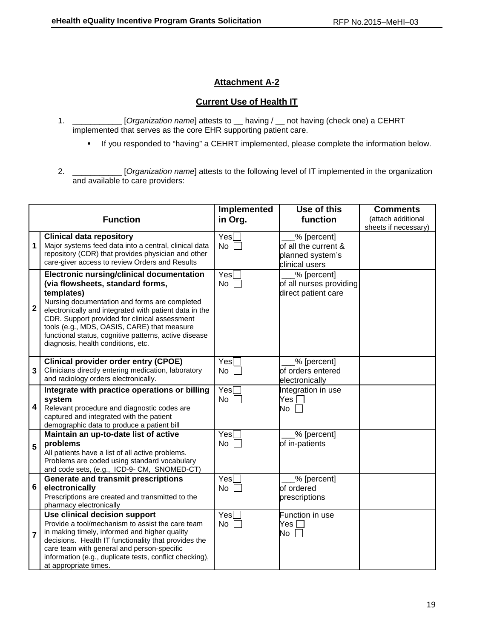## **Attachment A-2**

## **Current Use of Health IT**

- 1. \_\_\_\_\_\_\_\_\_\_\_ [*Organization name*] attests to \_\_ having / \_\_ not having (check one) a CEHRT implemented that serves as the core EHR supporting patient care.
	- If you responded to "having" a CEHRT implemented, please complete the information below.
- 2. \_\_\_\_\_\_\_\_\_\_\_ [*Organization name*] attests to the following level of IT implemented in the organization and available to care providers:

| <b>Function</b>         |                                                                                                                                                                                                                                                                                                                                                                                                              | Implemented<br>in Org. | Use of this<br>function                                                   | <b>Comments</b><br>(attach additional<br>sheets if necessary) |
|-------------------------|--------------------------------------------------------------------------------------------------------------------------------------------------------------------------------------------------------------------------------------------------------------------------------------------------------------------------------------------------------------------------------------------------------------|------------------------|---------------------------------------------------------------------------|---------------------------------------------------------------|
| $\mathbf 1$             | <b>Clinical data repository</b><br>Major systems feed data into a central, clinical data<br>repository (CDR) that provides physician and other<br>care-giver access to review Orders and Results                                                                                                                                                                                                             | Yes<br>No              | % [percent]<br>of all the current &<br>planned system's<br>clinical users |                                                               |
| $\overline{\mathbf{2}}$ | <b>Electronic nursing/clinical documentation</b><br>(via flowsheets, standard forms,<br>templates)<br>Nursing documentation and forms are completed<br>electronically and integrated with patient data in the<br>CDR. Support provided for clinical assessment<br>tools (e.g., MDS, OASIS, CARE) that measure<br>functional status, cognitive patterns, active disease<br>diagnosis, health conditions, etc. | Yes[<br><b>No</b>      | % [percent]<br>of all nurses providing<br>direct patient care             |                                                               |
| $\mathbf{3}$            | <b>Clinical provider order entry (CPOE)</b><br>Clinicians directly entering medication, laboratory<br>and radiology orders electronically.                                                                                                                                                                                                                                                                   | Yesl<br>No             | % [percent]<br>of orders entered<br>electronically                        |                                                               |
| $\overline{\mathbf{4}}$ | Integrate with practice operations or billing<br>system<br>Relevant procedure and diagnostic codes are<br>captured and integrated with the patient<br>demographic data to produce a patient bill                                                                                                                                                                                                             | Yes[<br>No             | Integration in use<br>Yes<br>No                                           |                                                               |
| 5                       | Maintain an up-to-date list of active<br>problems<br>All patients have a list of all active problems.<br>Problems are coded using standard vocabulary<br>and code sets, (e.g., ICD-9- CM, SNOMED-CT)                                                                                                                                                                                                         | Yes∏<br>No             | % [percent]<br>of in-patients                                             |                                                               |
| 6                       | <b>Generate and transmit prescriptions</b><br>electronically<br>Prescriptions are created and transmitted to the<br>pharmacy electronically                                                                                                                                                                                                                                                                  | Yes<br>No              | _% [percent]<br>of ordered<br>prescriptions                               |                                                               |
| $\overline{7}$          | Use clinical decision support<br>Provide a tool/mechanism to assist the care team<br>in making timely, informed and higher quality<br>decisions. Health IT functionality that provides the<br>care team with general and person-specific<br>information (e.g., duplicate tests, conflict checking),<br>at appropriate times.                                                                                 | Yes<br>No              | Function in use<br>Yes $\Box$<br>No                                       |                                                               |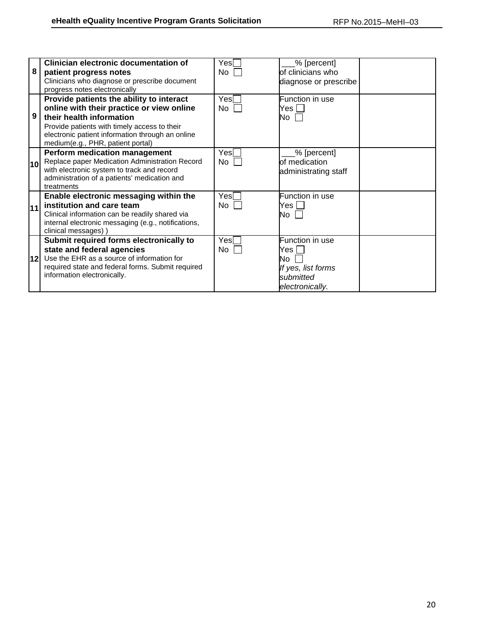| 8               | Clinician electronic documentation of                                                                                                                                                                                                                      | Yesl<br>No. | % [percent]<br>of clinicians who                                                     |  |
|-----------------|------------------------------------------------------------------------------------------------------------------------------------------------------------------------------------------------------------------------------------------------------------|-------------|--------------------------------------------------------------------------------------|--|
|                 | patient progress notes<br>Clinicians who diagnose or prescribe document<br>progress notes electronically                                                                                                                                                   |             | diagnose or prescribe                                                                |  |
| 9               | Provide patients the ability to interact<br>online with their practice or view online<br>their health information<br>Provide patients with timely access to their<br>electronic patient information through an online<br>medium(e.g., PHR, patient portal) | Yesl<br>No  | Function in use<br>Yes I<br>No I                                                     |  |
| 10 <sub>l</sub> | <b>Perform medication management</b><br>Replace paper Medication Administration Record<br>with electronic system to track and record<br>administration of a patients' medication and<br>treatments                                                         | Yesl<br>No  | % [percent]<br>of medication<br>administrating staff                                 |  |
| 11              | Enable electronic messaging within the<br>institution and care team<br>Clinical information can be readily shared via<br>internal electronic messaging (e.g., notifications,<br>clinical messages))                                                        | Yesl<br>No  | Function in use<br>Yes L<br>No l                                                     |  |
| 12l             | Submit required forms electronically to<br>state and federal agencies<br>Use the EHR as a source of information for<br>required state and federal forms. Submit required<br>information electronically.                                                    | Yesl<br>No. | Function in use<br>Yes l<br>N٥<br>If yes, list forms<br>submitted<br>electronically. |  |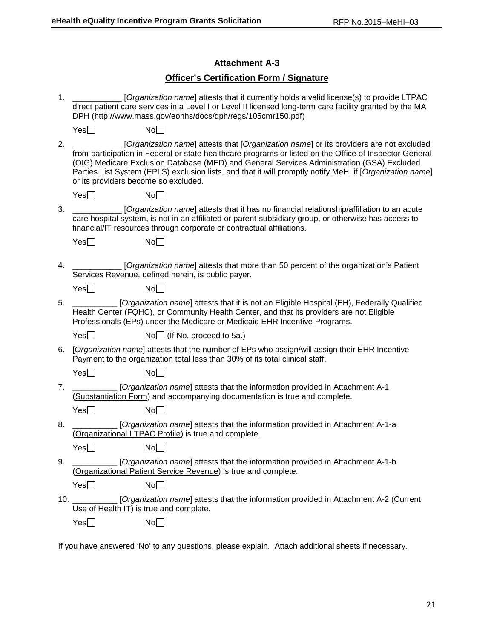## **Attachment A-3**

## **Officer's Certification Form / Signature**

| 1. |     | [Organization name] attests that it currently holds a valid license(s) to provide LTPAC<br>direct patient care services in a Level I or Level II licensed long-term care facility granted by the MA<br>DPH (http://www.mass.gov/eohhs/docs/dph/regs/105cmr150.pdf)                                                                                                                                                                                  |
|----|-----|-----------------------------------------------------------------------------------------------------------------------------------------------------------------------------------------------------------------------------------------------------------------------------------------------------------------------------------------------------------------------------------------------------------------------------------------------------|
|    | Yes | No                                                                                                                                                                                                                                                                                                                                                                                                                                                  |
| 2. |     | [Organization name] attests that [Organization name] or its providers are not excluded<br>from participation in Federal or state healthcare programs or listed on the Office of Inspector General<br>(OIG) Medicare Exclusion Database (MED) and General Services Administration (GSA) Excluded<br>Parties List System (EPLS) exclusion lists, and that it will promptly notify MeHI if [Organization name]<br>or its providers become so excluded. |
|    | Yes | No                                                                                                                                                                                                                                                                                                                                                                                                                                                  |
| 3. |     | [Organization name] attests that it has no financial relationship/affiliation to an acute<br>care hospital system, is not in an affiliated or parent-subsidiary group, or otherwise has access to<br>financial/IT resources through corporate or contractual affiliations.                                                                                                                                                                          |
|    | Yes | No                                                                                                                                                                                                                                                                                                                                                                                                                                                  |
| 4. |     | [Organization name] attests that more than 50 percent of the organization's Patient<br>Services Revenue, defined herein, is public payer.                                                                                                                                                                                                                                                                                                           |
|    | Yes | No                                                                                                                                                                                                                                                                                                                                                                                                                                                  |
| 5. |     | [Organization name] attests that it is not an Eligible Hospital (EH), Federally Qualified<br>Health Center (FQHC), or Community Health Center, and that its providers are not Eligible<br>Professionals (EPs) under the Medicare or Medicaid EHR Incentive Programs.                                                                                                                                                                                |
|    | Yes | $No$ (If No, proceed to 5a.)                                                                                                                                                                                                                                                                                                                                                                                                                        |
| 6. |     | [Organization name] attests that the number of EPs who assign/will assign their EHR Incentive<br>Payment to the organization total less than 30% of its total clinical staff.                                                                                                                                                                                                                                                                       |
|    | Yes | No                                                                                                                                                                                                                                                                                                                                                                                                                                                  |
| 7. |     | [Organization name] attests that the information provided in Attachment A-1<br>(Substantiation Form) and accompanying documentation is true and complete.                                                                                                                                                                                                                                                                                           |
|    | Yes | No                                                                                                                                                                                                                                                                                                                                                                                                                                                  |
| 8. |     | [Organization name] attests that the information provided in Attachment A-1-a<br>(Organizational LTPAC Profile) is true and complete.                                                                                                                                                                                                                                                                                                               |
|    | Yes | No                                                                                                                                                                                                                                                                                                                                                                                                                                                  |
| 9. |     | [Organization name] attests that the information provided in Attachment A-1-b<br>(Organizational Patient Service Revenue) is true and complete.                                                                                                                                                                                                                                                                                                     |
|    | Yes | No                                                                                                                                                                                                                                                                                                                                                                                                                                                  |
|    |     | [Organization name] attests that the information provided in Attachment A-2 (Current<br>Use of Health IT) is true and complete.                                                                                                                                                                                                                                                                                                                     |
|    | Yes | No                                                                                                                                                                                                                                                                                                                                                                                                                                                  |
|    |     | If you have answered 'No' to any questions, please explain. Attach additional sheets if necessary.                                                                                                                                                                                                                                                                                                                                                  |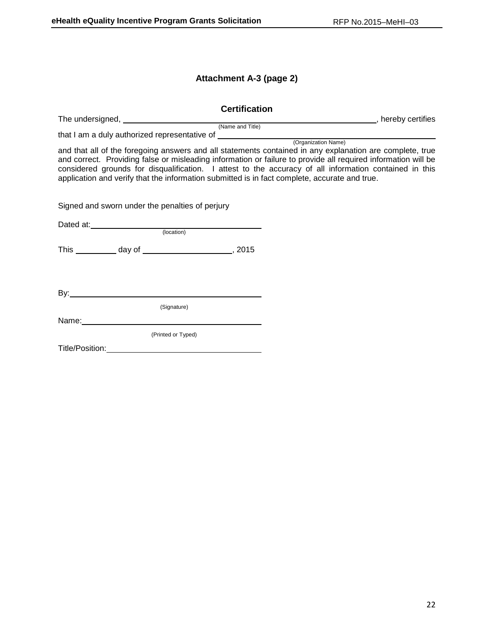## **Attachment A-3 (page 2)**

| <b>Certification</b>                                                                                                                                                                                                                                                                                                                                                                                                                 |  |
|--------------------------------------------------------------------------------------------------------------------------------------------------------------------------------------------------------------------------------------------------------------------------------------------------------------------------------------------------------------------------------------------------------------------------------------|--|
|                                                                                                                                                                                                                                                                                                                                                                                                                                      |  |
|                                                                                                                                                                                                                                                                                                                                                                                                                                      |  |
| and that all of the foregoing answers and all statements contained in any explanation are complete, true<br>and correct. Providing false or misleading information or failure to provide all required information will be<br>considered grounds for disqualification. I attest to the accuracy of all information contained in this<br>application and verify that the information submitted is in fact complete, accurate and true. |  |
| Signed and sworn under the penalties of perjury                                                                                                                                                                                                                                                                                                                                                                                      |  |
| Dated at: (location)                                                                                                                                                                                                                                                                                                                                                                                                                 |  |
|                                                                                                                                                                                                                                                                                                                                                                                                                                      |  |
| This ____________ day of ___________________________, 2015                                                                                                                                                                                                                                                                                                                                                                           |  |
| (Signature)                                                                                                                                                                                                                                                                                                                                                                                                                          |  |
|                                                                                                                                                                                                                                                                                                                                                                                                                                      |  |
| (Printed or Typed)<br>Title/Position: Website the Contract of the Contract of the Contract of the Contract of the Contract of the Contract of the Contract of the Contract of the Contract of the Contract of the Contract of the Contract of the Co                                                                                                                                                                                 |  |
|                                                                                                                                                                                                                                                                                                                                                                                                                                      |  |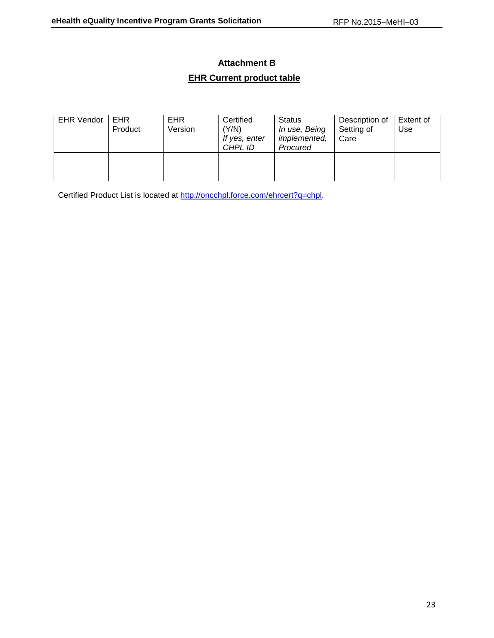## **Attachment B**

## **EHR Current product table**

| <b>EHR Vendor</b> | EHR<br>Product | <b>EHR</b><br>Version | Certified<br>(Y/N)<br>If yes, enter<br>CHPL ID | Status<br>In use, Being<br><i>implemented,</i><br>Procured | Description of<br>Setting of<br>Care | Extent of<br>Use |
|-------------------|----------------|-----------------------|------------------------------------------------|------------------------------------------------------------|--------------------------------------|------------------|
|                   |                |                       |                                                |                                                            |                                      |                  |

Certified Product List is located at [http://oncchpl.force.com/ehrcert?q=chpl.](http://oncchpl.force.com/ehrcert?q=chpl)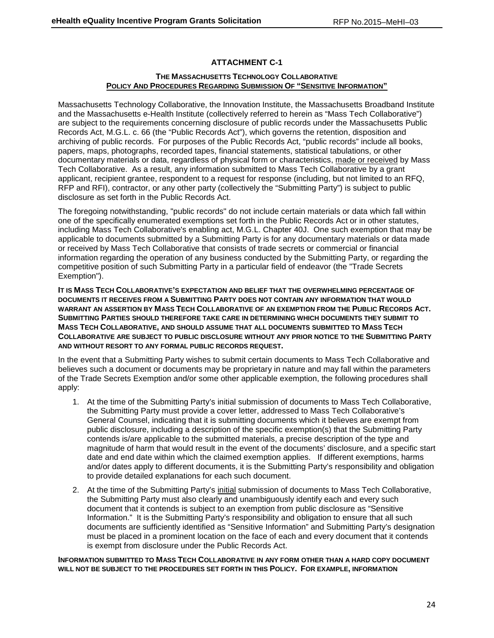## **ATTACHMENT C-1**

### **THE MASSACHUSETTS TECHNOLOGY COLLABORATIVE POLICY AND PROCEDURES REGARDING SUBMISSION OF "SENSITIVE INFORMATION"**

Massachusetts Technology Collaborative, the Innovation Institute, the Massachusetts Broadband Institute and the Massachusetts e-Health Institute (collectively referred to herein as "Mass Tech Collaborative") are subject to the requirements concerning disclosure of public records under the Massachusetts Public Records Act, M.G.L. c. 66 (the "Public Records Act"), which governs the retention, disposition and archiving of public records. For purposes of the Public Records Act, "public records" include all books, papers, maps, photographs, recorded tapes, financial statements, statistical tabulations, or other documentary materials or data, regardless of physical form or characteristics, made or received by Mass Tech Collaborative. As a result, any information submitted to Mass Tech Collaborative by a grant applicant, recipient grantee, respondent to a request for response (including, but not limited to an RFQ, RFP and RFI), contractor, or any other party (collectively the "Submitting Party") is subject to public disclosure as set forth in the Public Records Act.

The foregoing notwithstanding, "public records" do not include certain materials or data which fall within one of the specifically enumerated exemptions set forth in the Public Records Act or in other statutes, including Mass Tech Collaborative's enabling act, M.G.L. Chapter 40J. One such exemption that may be applicable to documents submitted by a Submitting Party is for any documentary materials or data made or received by Mass Tech Collaborative that consists of trade secrets or commercial or financial information regarding the operation of any business conducted by the Submitting Party, or regarding the competitive position of such Submitting Party in a particular field of endeavor (the "Trade Secrets Exemption").

**IT IS MASS TECH COLLABORATIVE'S EXPECTATION AND BELIEF THAT THE OVERWHELMING PERCENTAGE OF DOCUMENTS IT RECEIVES FROM A SUBMITTING PARTY DOES NOT CONTAIN ANY INFORMATION THAT WOULD WARRANT AN ASSERTION BY MASS TECH COLLABORATIVE OF AN EXEMPTION FROM THE PUBLIC RECORDS ACT. SUBMITTING PARTIES SHOULD THEREFORE TAKE CARE IN DETERMINING WHICH DOCUMENTS THEY SUBMIT TO MASS TECH COLLABORATIVE, AND SHOULD ASSUME THAT ALL DOCUMENTS SUBMITTED TO MASS TECH COLLABORATIVE ARE SUBJECT TO PUBLIC DISCLOSURE WITHOUT ANY PRIOR NOTICE TO THE SUBMITTING PARTY AND WITHOUT RESORT TO ANY FORMAL PUBLIC RECORDS REQUEST.**

In the event that a Submitting Party wishes to submit certain documents to Mass Tech Collaborative and believes such a document or documents may be proprietary in nature and may fall within the parameters of the Trade Secrets Exemption and/or some other applicable exemption, the following procedures shall apply:

- 1. At the time of the Submitting Party's initial submission of documents to Mass Tech Collaborative, the Submitting Party must provide a cover letter, addressed to Mass Tech Collaborative's General Counsel, indicating that it is submitting documents which it believes are exempt from public disclosure, including a description of the specific exemption(s) that the Submitting Party contends is/are applicable to the submitted materials, a precise description of the type and magnitude of harm that would result in the event of the documents' disclosure, and a specific start date and end date within which the claimed exemption applies. If different exemptions, harms and/or dates apply to different documents, it is the Submitting Party's responsibility and obligation to provide detailed explanations for each such document.
- 2. At the time of the Submitting Party's initial submission of documents to Mass Tech Collaborative, the Submitting Party must also clearly and unambiguously identify each and every such document that it contends is subject to an exemption from public disclosure as "Sensitive Information." It is the Submitting Party's responsibility and obligation to ensure that all such documents are sufficiently identified as "Sensitive Information" and Submitting Party's designation must be placed in a prominent location on the face of each and every document that it contends is exempt from disclosure under the Public Records Act.

**INFORMATION SUBMITTED TO MASS TECH COLLABORATIVE IN ANY FORM OTHER THAN A HARD COPY DOCUMENT WILL NOT BE SUBJECT TO THE PROCEDURES SET FORTH IN THIS POLICY. FOR EXAMPLE, INFORMATION**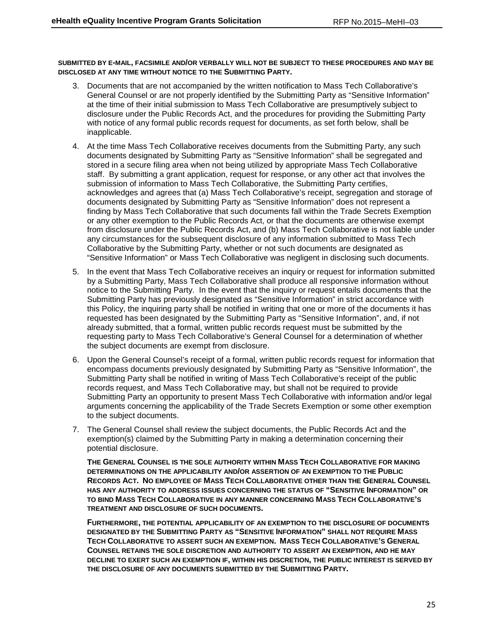**SUBMITTED BY E-MAIL, FACSIMILE AND/OR VERBALLY WILL NOT BE SUBJECT TO THESE PROCEDURES AND MAY BE DISCLOSED AT ANY TIME WITHOUT NOTICE TO THE SUBMITTING PARTY.** 

- 3. Documents that are not accompanied by the written notification to Mass Tech Collaborative's General Counsel or are not properly identified by the Submitting Party as "Sensitive Information" at the time of their initial submission to Mass Tech Collaborative are presumptively subject to disclosure under the Public Records Act, and the procedures for providing the Submitting Party with notice of any formal public records request for documents, as set forth below, shall be inapplicable.
- 4. At the time Mass Tech Collaborative receives documents from the Submitting Party, any such documents designated by Submitting Party as "Sensitive Information" shall be segregated and stored in a secure filing area when not being utilized by appropriate Mass Tech Collaborative staff. By submitting a grant application, request for response, or any other act that involves the submission of information to Mass Tech Collaborative, the Submitting Party certifies, acknowledges and agrees that (a) Mass Tech Collaborative's receipt, segregation and storage of documents designated by Submitting Party as "Sensitive Information" does not represent a finding by Mass Tech Collaborative that such documents fall within the Trade Secrets Exemption or any other exemption to the Public Records Act, or that the documents are otherwise exempt from disclosure under the Public Records Act, and (b) Mass Tech Collaborative is not liable under any circumstances for the subsequent disclosure of any information submitted to Mass Tech Collaborative by the Submitting Party, whether or not such documents are designated as "Sensitive Information" or Mass Tech Collaborative was negligent in disclosing such documents.
- 5. In the event that Mass Tech Collaborative receives an inquiry or request for information submitted by a Submitting Party, Mass Tech Collaborative shall produce all responsive information without notice to the Submitting Party. In the event that the inquiry or request entails documents that the Submitting Party has previously designated as "Sensitive Information" in strict accordance with this Policy, the inquiring party shall be notified in writing that one or more of the documents it has requested has been designated by the Submitting Party as "Sensitive Information", and, if not already submitted, that a formal, written public records request must be submitted by the requesting party to Mass Tech Collaborative's General Counsel for a determination of whether the subject documents are exempt from disclosure.
- 6. Upon the General Counsel's receipt of a formal, written public records request for information that encompass documents previously designated by Submitting Party as "Sensitive Information", the Submitting Party shall be notified in writing of Mass Tech Collaborative's receipt of the public records request, and Mass Tech Collaborative may, but shall not be required to provide Submitting Party an opportunity to present Mass Tech Collaborative with information and/or legal arguments concerning the applicability of the Trade Secrets Exemption or some other exemption to the subject documents.
- 7. The General Counsel shall review the subject documents, the Public Records Act and the exemption(s) claimed by the Submitting Party in making a determination concerning their potential disclosure.

**THE GENERAL COUNSEL IS THE SOLE AUTHORITY WITHIN MASS TECH COLLABORATIVE FOR MAKING DETERMINATIONS ON THE APPLICABILITY AND/OR ASSERTION OF AN EXEMPTION TO THE PUBLIC RECORDS ACT. NO EMPLOYEE OF MASS TECH COLLABORATIVE OTHER THAN THE GENERAL COUNSEL HAS ANY AUTHORITY TO ADDRESS ISSUES CONCERNING THE STATUS OF "SENSITIVE INFORMATION" OR TO BIND MASS TECH COLLABORATIVE IN ANY MANNER CONCERNING MASS TECH COLLABORATIVE'S TREATMENT AND DISCLOSURE OF SUCH DOCUMENTS.** 

**FURTHERMORE, THE POTENTIAL APPLICABILITY OF AN EXEMPTION TO THE DISCLOSURE OF DOCUMENTS DESIGNATED BY THE SUBMITTING PARTY AS "SENSITIVE INFORMATION" SHALL NOT REQUIRE MASS TECH COLLABORATIVE TO ASSERT SUCH AN EXEMPTION. MASS TECH COLLABORATIVE'S GENERAL COUNSEL RETAINS THE SOLE DISCRETION AND AUTHORITY TO ASSERT AN EXEMPTION, AND HE MAY DECLINE TO EXERT SUCH AN EXEMPTION IF, WITHIN HIS DISCRETION, THE PUBLIC INTEREST IS SERVED BY THE DISCLOSURE OF ANY DOCUMENTS SUBMITTED BY THE SUBMITTING PARTY.**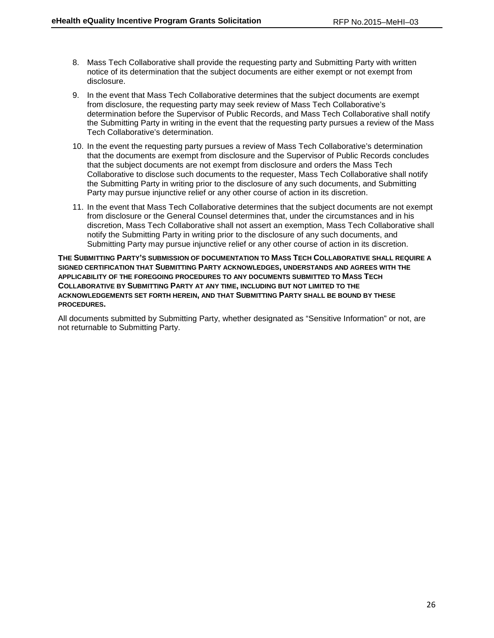- 8. Mass Tech Collaborative shall provide the requesting party and Submitting Party with written notice of its determination that the subject documents are either exempt or not exempt from disclosure.
- 9. In the event that Mass Tech Collaborative determines that the subject documents are exempt from disclosure, the requesting party may seek review of Mass Tech Collaborative's determination before the Supervisor of Public Records, and Mass Tech Collaborative shall notify the Submitting Party in writing in the event that the requesting party pursues a review of the Mass Tech Collaborative's determination.
- 10. In the event the requesting party pursues a review of Mass Tech Collaborative's determination that the documents are exempt from disclosure and the Supervisor of Public Records concludes that the subject documents are not exempt from disclosure and orders the Mass Tech Collaborative to disclose such documents to the requester, Mass Tech Collaborative shall notify the Submitting Party in writing prior to the disclosure of any such documents, and Submitting Party may pursue injunctive relief or any other course of action in its discretion.
- 11. In the event that Mass Tech Collaborative determines that the subject documents are not exempt from disclosure or the General Counsel determines that, under the circumstances and in his discretion, Mass Tech Collaborative shall not assert an exemption, Mass Tech Collaborative shall notify the Submitting Party in writing prior to the disclosure of any such documents, and Submitting Party may pursue injunctive relief or any other course of action in its discretion.

**THE SUBMITTING PARTY'S SUBMISSION OF DOCUMENTATION TO MASS TECH COLLABORATIVE SHALL REQUIRE A SIGNED CERTIFICATION THAT SUBMITTING PARTY ACKNOWLEDGES, UNDERSTANDS AND AGREES WITH THE APPLICABILITY OF THE FOREGOING PROCEDURES TO ANY DOCUMENTS SUBMITTED TO MASS TECH COLLABORATIVE BY SUBMITTING PARTY AT ANY TIME, INCLUDING BUT NOT LIMITED TO THE ACKNOWLEDGEMENTS SET FORTH HEREIN, AND THAT SUBMITTING PARTY SHALL BE BOUND BY THESE PROCEDURES.** 

All documents submitted by Submitting Party, whether designated as "Sensitive Information" or not, are not returnable to Submitting Party.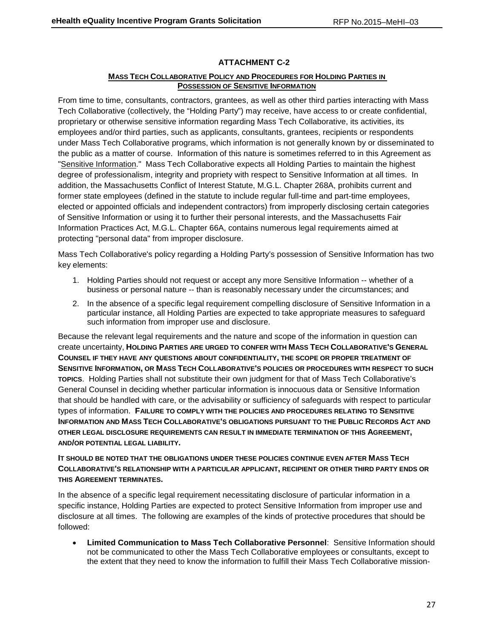## **ATTACHMENT C-2**

### **MASS TECH COLLABORATIVE POLICY AND PROCEDURES FOR HOLDING PARTIES IN POSSESSION OF SENSITIVE INFORMATION**

From time to time, consultants, contractors, grantees, as well as other third parties interacting with Mass Tech Collaborative (collectively, the "Holding Party") may receive, have access to or create confidential, proprietary or otherwise sensitive information regarding Mass Tech Collaborative, its activities, its employees and/or third parties, such as applicants, consultants, grantees, recipients or respondents under Mass Tech Collaborative programs, which information is not generally known by or disseminated to the public as a matter of course. Information of this nature is sometimes referred to in this Agreement as "Sensitive Information." Mass Tech Collaborative expects all Holding Parties to maintain the highest degree of professionalism, integrity and propriety with respect to Sensitive Information at all times. In addition, the Massachusetts Conflict of Interest Statute, M.G.L. Chapter 268A, prohibits current and former state employees (defined in the statute to include regular full-time and part-time employees, elected or appointed officials and independent contractors) from improperly disclosing certain categories of Sensitive Information or using it to further their personal interests, and the Massachusetts Fair Information Practices Act, M.G.L. Chapter 66A, contains numerous legal requirements aimed at protecting "personal data" from improper disclosure.

Mass Tech Collaborative's policy regarding a Holding Party's possession of Sensitive Information has two key elements:

- 1. Holding Parties should not request or accept any more Sensitive Information -- whether of a business or personal nature -- than is reasonably necessary under the circumstances; and
- 2. In the absence of a specific legal requirement compelling disclosure of Sensitive Information in a particular instance, all Holding Parties are expected to take appropriate measures to safeguard such information from improper use and disclosure.

Because the relevant legal requirements and the nature and scope of the information in question can create uncertainty, **HOLDING PARTIES ARE URGED TO CONFER WITH MASS TECH COLLABORATIVE'S GENERAL COUNSEL IF THEY HAVE ANY QUESTIONS ABOUT CONFIDENTIALITY, THE SCOPE OR PROPER TREATMENT OF SENSITIVE INFORMATION, OR MASS TECH COLLABORATIVE'S POLICIES OR PROCEDURES WITH RESPECT TO SUCH TOPICS**. Holding Parties shall not substitute their own judgment for that of Mass Tech Collaborative's General Counsel in deciding whether particular information is innocuous data or Sensitive Information that should be handled with care, or the advisability or sufficiency of safeguards with respect to particular types of information. **FAILURE TO COMPLY WITH THE POLICIES AND PROCEDURES RELATING TO SENSITIVE INFORMATION AND MASS TECH COLLABORATIVE'S OBLIGATIONS PURSUANT TO THE PUBLIC RECORDS ACT AND OTHER LEGAL DISCLOSURE REQUIREMENTS CAN RESULT IN IMMEDIATE TERMINATION OF THIS AGREEMENT, AND/OR POTENTIAL LEGAL LIABILITY.**

## **IT SHOULD BE NOTED THAT THE OBLIGATIONS UNDER THESE POLICIES CONTINUE EVEN AFTER MASS TECH COLLABORATIVE'S RELATIONSHIP WITH A PARTICULAR APPLICANT, RECIPIENT OR OTHER THIRD PARTY ENDS OR THIS AGREEMENT TERMINATES.**

In the absence of a specific legal requirement necessitating disclosure of particular information in a specific instance, Holding Parties are expected to protect Sensitive Information from improper use and disclosure at all times. The following are examples of the kinds of protective procedures that should be followed:

• **Limited Communication to Mass Tech Collaborative Personnel**: Sensitive Information should not be communicated to other the Mass Tech Collaborative employees or consultants, except to the extent that they need to know the information to fulfill their Mass Tech Collaborative mission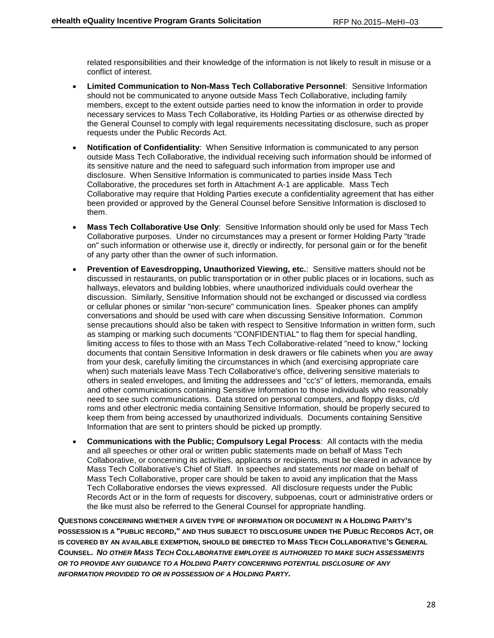related responsibilities and their knowledge of the information is not likely to result in misuse or a conflict of interest.

- **Limited Communication to Non-Mass Tech Collaborative Personnel**: Sensitive Information should not be communicated to anyone outside Mass Tech Collaborative, including family members, except to the extent outside parties need to know the information in order to provide necessary services to Mass Tech Collaborative, its Holding Parties or as otherwise directed by the General Counsel to comply with legal requirements necessitating disclosure, such as proper requests under the Public Records Act.
- **Notification of Confidentiality**: When Sensitive Information is communicated to any person outside Mass Tech Collaborative, the individual receiving such information should be informed of its sensitive nature and the need to safeguard such information from improper use and disclosure. When Sensitive Information is communicated to parties inside Mass Tech Collaborative, the procedures set forth in Attachment A-1 are applicable. Mass Tech Collaborative may require that Holding Parties execute a confidentiality agreement that has either been provided or approved by the General Counsel before Sensitive Information is disclosed to them.
- **Mass Tech Collaborative Use Only**: Sensitive Information should only be used for Mass Tech Collaborative purposes. Under no circumstances may a present or former Holding Party "trade on" such information or otherwise use it, directly or indirectly, for personal gain or for the benefit of any party other than the owner of such information.
- **Prevention of Eavesdropping, Unauthorized Viewing, etc.**: Sensitive matters should not be discussed in restaurants, on public transportation or in other public places or in locations, such as hallways, elevators and building lobbies, where unauthorized individuals could overhear the discussion. Similarly, Sensitive Information should not be exchanged or discussed via cordless or cellular phones or similar "non-secure" communication lines. Speaker phones can amplify conversations and should be used with care when discussing Sensitive Information. Common sense precautions should also be taken with respect to Sensitive Information in written form, such as stamping or marking such documents "CONFIDENTIAL" to flag them for special handling, limiting access to files to those with an Mass Tech Collaborative-related "need to know," locking documents that contain Sensitive Information in desk drawers or file cabinets when you are away from your desk, carefully limiting the circumstances in which (and exercising appropriate care when) such materials leave Mass Tech Collaborative's office, delivering sensitive materials to others in sealed envelopes, and limiting the addressees and "cc's" of letters, memoranda, emails and other communications containing Sensitive Information to those individuals who reasonably need to see such communications. Data stored on personal computers, and floppy disks, c/d roms and other electronic media containing Sensitive Information, should be properly secured to keep them from being accessed by unauthorized individuals. Documents containing Sensitive Information that are sent to printers should be picked up promptly.
- **Communications with the Public; Compulsory Legal Process**: All contacts with the media and all speeches or other oral or written public statements made on behalf of Mass Tech Collaborative, or concerning its activities, applicants or recipients, must be cleared in advance by Mass Tech Collaborative's Chief of Staff. In speeches and statements *not* made on behalf of Mass Tech Collaborative, proper care should be taken to avoid any implication that the Mass Tech Collaborative endorses the views expressed. All disclosure requests under the Public Records Act or in the form of requests for discovery, subpoenas, court or administrative orders or the like must also be referred to the General Counsel for appropriate handling.

**QUESTIONS CONCERNING WHETHER A GIVEN TYPE OF INFORMATION OR DOCUMENT IN A HOLDING PARTY'S POSSESSION IS A "PUBLIC RECORD," AND THUS SUBJECT TO DISCLOSURE UNDER THE PUBLIC RECORDS ACT, OR IS COVERED BY AN AVAILABLE EXEMPTION, SHOULD BE DIRECTED TO MASS TECH COLLABORATIVE'S GENERAL COUNSEL.** *NO OTHER MASS TECH COLLABORATIVE EMPLOYEE IS AUTHORIZED TO MAKE SUCH ASSESSMENTS OR TO PROVIDE ANY GUIDANCE TO A HOLDING PARTY CONCERNING POTENTIAL DISCLOSURE OF ANY INFORMATION PROVIDED TO OR IN POSSESSION OF A HOLDING PARTY.*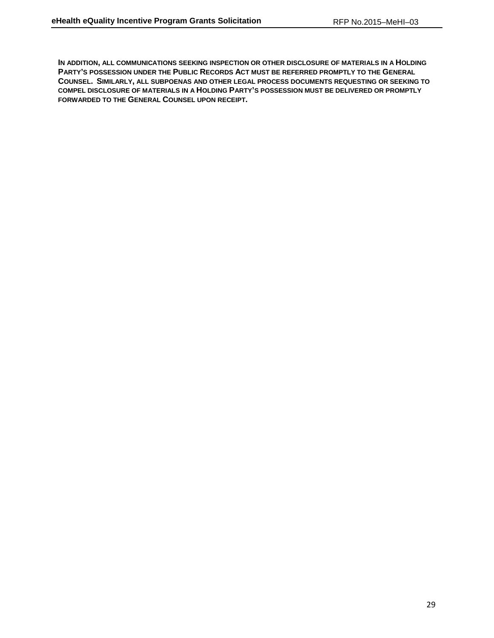**IN ADDITION, ALL COMMUNICATIONS SEEKING INSPECTION OR OTHER DISCLOSURE OF MATERIALS IN A HOLDING PARTY'S POSSESSION UNDER THE PUBLIC RECORDS ACT MUST BE REFERRED PROMPTLY TO THE GENERAL COUNSEL. SIMILARLY, ALL SUBPOENAS AND OTHER LEGAL PROCESS DOCUMENTS REQUESTING OR SEEKING TO COMPEL DISCLOSURE OF MATERIALS IN A HOLDING PARTY'S POSSESSION MUST BE DELIVERED OR PROMPTLY FORWARDED TO THE GENERAL COUNSEL UPON RECEIPT.**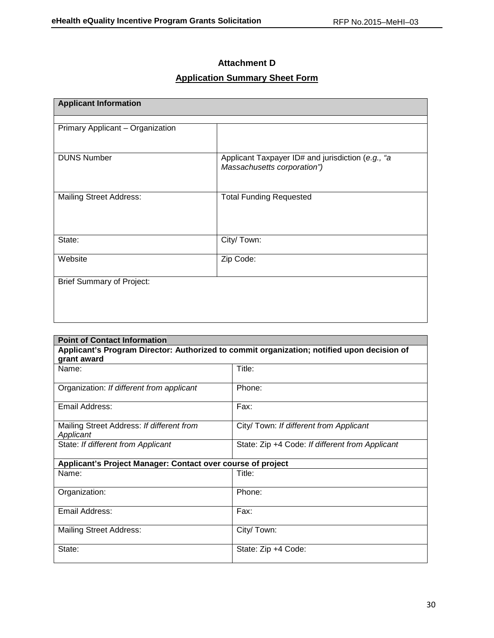## **Attachment D**

# **Application Summary Sheet Form**

| <b>Applicant Information</b>     |                                                                                  |
|----------------------------------|----------------------------------------------------------------------------------|
|                                  |                                                                                  |
| Primary Applicant - Organization |                                                                                  |
| <b>DUNS Number</b>               | Applicant Taxpayer ID# and jurisdiction (e.g., "a<br>Massachusetts corporation") |
| <b>Mailing Street Address:</b>   | <b>Total Funding Requested</b>                                                   |
| State:                           | City/ Town:                                                                      |
| Website                          | Zip Code:                                                                        |
| <b>Brief Summary of Project:</b> |                                                                                  |
|                                  |                                                                                  |

| <b>Point of Contact Information</b>                                                        |                                                 |  |  |
|--------------------------------------------------------------------------------------------|-------------------------------------------------|--|--|
| Applicant's Program Director: Authorized to commit organization; notified upon decision of |                                                 |  |  |
| grant award                                                                                |                                                 |  |  |
| Name:                                                                                      | Title:                                          |  |  |
| Organization: If different from applicant                                                  | Phone:                                          |  |  |
| Email Address:                                                                             | Fax:                                            |  |  |
| Mailing Street Address: If different from<br>Applicant                                     | City/ Town: If different from Applicant         |  |  |
| State: If different from Applicant                                                         | State: Zip +4 Code: If different from Applicant |  |  |
| Applicant's Project Manager: Contact over course of project                                |                                                 |  |  |
| Name:                                                                                      | Title:                                          |  |  |
| Organization:                                                                              | Phone:                                          |  |  |
| Email Address:                                                                             | Fax:                                            |  |  |
| <b>Mailing Street Address:</b>                                                             | City/Town:                                      |  |  |
| State:                                                                                     | State: Zip +4 Code:                             |  |  |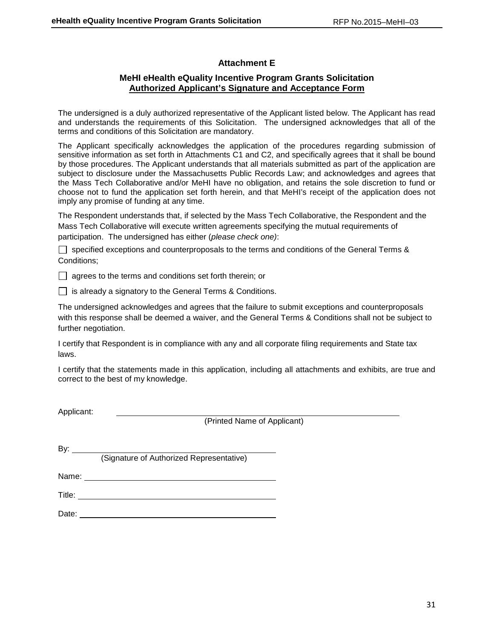## **Attachment E**

## **MeHI eHealth eQuality Incentive Program Grants Solicitation Authorized Applicant's Signature and Acceptance Form**

The undersigned is a duly authorized representative of the Applicant listed below. The Applicant has read and understands the requirements of this Solicitation. The undersigned acknowledges that all of the terms and conditions of this Solicitation are mandatory.

The Applicant specifically acknowledges the application of the procedures regarding submission of sensitive information as set forth in Attachments C1 and C2, and specifically agrees that it shall be bound by those procedures. The Applicant understands that all materials submitted as part of the application are subject to disclosure under the Massachusetts Public Records Law; and acknowledges and agrees that the Mass Tech Collaborative and/or MeHI have no obligation, and retains the sole discretion to fund or choose not to fund the application set forth herein, and that MeHI's receipt of the application does not imply any promise of funding at any time.

The Respondent understands that, if selected by the Mass Tech Collaborative, the Respondent and the Mass Tech Collaborative will execute written agreements specifying the mutual requirements of participation. The undersigned has either (*please check one)*:

 $\Box$  specified exceptions and counterproposals to the terms and conditions of the General Terms & Conditions;

 $\Box$  agrees to the terms and conditions set forth therein; or

 $\Box$  is already a signatory to the General Terms & Conditions.

The undersigned acknowledges and agrees that the failure to submit exceptions and counterproposals with this response shall be deemed a waiver, and the General Terms & Conditions shall not be subject to further negotiation.

I certify that Respondent is in compliance with any and all corporate filing requirements and State tax laws.

I certify that the statements made in this application, including all attachments and exhibits, are true and correct to the best of my knowledge.

Applicant:

(Printed Name of Applicant)

| I<br>۰. |  |
|---------|--|
|         |  |

(Signature of Authorized Representative)

Name: Name:

Title: Title: Title: Title: Title: Title: Title: Title: Title: Title: Title: Title: Title: Title: Title: Title: Title: Title: Title: Title: Title: Title: Title: Title: Title: Title: Title: Title: Title: Title: Title: Title

Date: **Date: Date: Date: Date: Date: Date: Date: Date: Date: Date: Date: Date: Date: Date: Date: Date: Date: Date: Date: Date: Date: Date: Date: Date: Date: Date: Date:**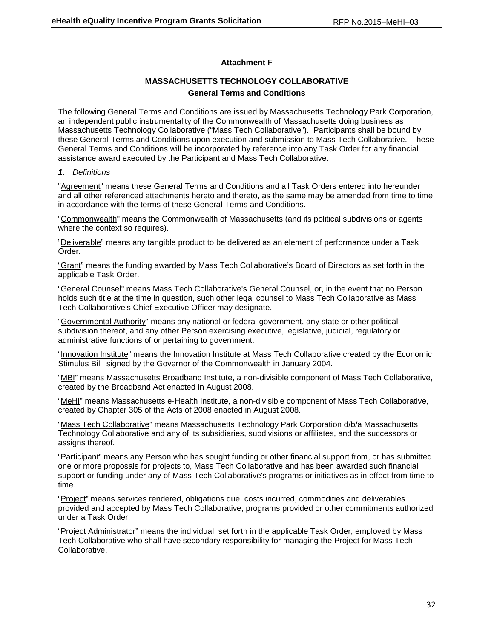### **Attachment F**

## **MASSACHUSETTS TECHNOLOGY COLLABORATIVE General Terms and Conditions**

The following General Terms and Conditions are issued by Massachusetts Technology Park Corporation, an independent public instrumentality of the Commonwealth of Massachusetts doing business as Massachusetts Technology Collaborative ("Mass Tech Collaborative"). Participants shall be bound by these General Terms and Conditions upon execution and submission to Mass Tech Collaborative. These General Terms and Conditions will be incorporated by reference into any Task Order for any financial assistance award executed by the Participant and Mass Tech Collaborative.

### *1. Definitions*

"Agreement" means these General Terms and Conditions and all Task Orders entered into hereunder and all other referenced attachments hereto and thereto, as the same may be amended from time to time in accordance with the terms of these General Terms and Conditions.

"Commonwealth" means the Commonwealth of Massachusetts (and its political subdivisions or agents where the context so requires).

"Deliverable" means any tangible product to be delivered as an element of performance under a Task Order**.**

"Grant" means the funding awarded by Mass Tech Collaborative's Board of Directors as set forth in the applicable Task Order.

"General Counsel" means Mass Tech Collaborative's General Counsel, or, in the event that no Person holds such title at the time in question, such other legal counsel to Mass Tech Collaborative as Mass Tech Collaborative's Chief Executive Officer may designate.

"Governmental Authority" means any national or federal government, any state or other political subdivision thereof, and any other Person exercising executive, legislative, judicial, regulatory or administrative functions of or pertaining to government.

"Innovation Institute" means the Innovation Institute at Mass Tech Collaborative created by the Economic Stimulus Bill, signed by the Governor of the Commonwealth in January 2004.

"MBI" means Massachusetts Broadband Institute, a non-divisible component of Mass Tech Collaborative, created by the Broadband Act enacted in August 2008.

"MeHI" means Massachusetts e-Health Institute, a non-divisible component of Mass Tech Collaborative, created by Chapter 305 of the Acts of 2008 enacted in August 2008.

"Mass Tech Collaborative" means Massachusetts Technology Park Corporation d/b/a Massachusetts Technology Collaborative and any of its subsidiaries, subdivisions or affiliates, and the successors or assigns thereof.

"Participant" means any Person who has sought funding or other financial support from, or has submitted one or more proposals for projects to, Mass Tech Collaborative and has been awarded such financial support or funding under any of Mass Tech Collaborative's programs or initiatives as in effect from time to time.

"Project" means services rendered, obligations due, costs incurred, commodities and deliverables provided and accepted by Mass Tech Collaborative, programs provided or other commitments authorized under a Task Order.

"Project Administrator" means the individual, set forth in the applicable Task Order, employed by Mass Tech Collaborative who shall have secondary responsibility for managing the Project for Mass Tech Collaborative.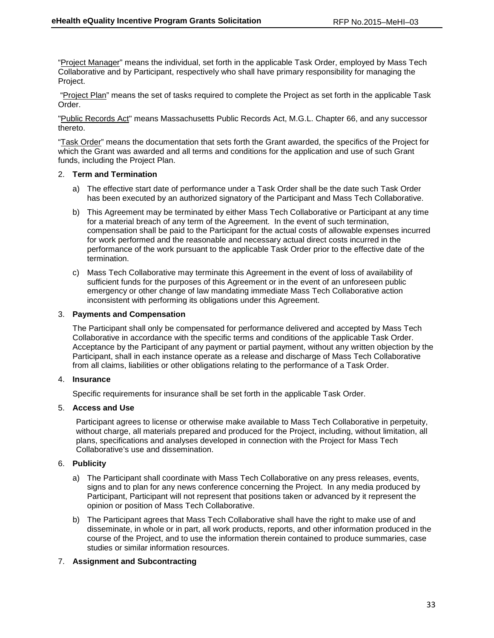"Project Manager" means the individual, set forth in the applicable Task Order, employed by Mass Tech Collaborative and by Participant, respectively who shall have primary responsibility for managing the Project.

"Project Plan" means the set of tasks required to complete the Project as set forth in the applicable Task Order.

"Public Records Act" means Massachusetts Public Records Act, M.G.L. Chapter 66, and any successor thereto.

"Task Order" means the documentation that sets forth the Grant awarded, the specifics of the Project for which the Grant was awarded and all terms and conditions for the application and use of such Grant funds, including the Project Plan.

### 2. **Term and Termination**

- a) The effective start date of performance under a Task Order shall be the date such Task Order has been executed by an authorized signatory of the Participant and Mass Tech Collaborative.
- b) This Agreement may be terminated by either Mass Tech Collaborative or Participant at any time for a material breach of any term of the Agreement. In the event of such termination, compensation shall be paid to the Participant for the actual costs of allowable expenses incurred for work performed and the reasonable and necessary actual direct costs incurred in the performance of the work pursuant to the applicable Task Order prior to the effective date of the termination.
- c) Mass Tech Collaborative may terminate this Agreement in the event of loss of availability of sufficient funds for the purposes of this Agreement or in the event of an unforeseen public emergency or other change of law mandating immediate Mass Tech Collaborative action inconsistent with performing its obligations under this Agreement.

### 3. **Payments and Compensation**

The Participant shall only be compensated for performance delivered and accepted by Mass Tech Collaborative in accordance with the specific terms and conditions of the applicable Task Order. Acceptance by the Participant of any payment or partial payment, without any written objection by the Participant, shall in each instance operate as a release and discharge of Mass Tech Collaborative from all claims, liabilities or other obligations relating to the performance of a Task Order.

### 4. **Insurance**

Specific requirements for insurance shall be set forth in the applicable Task Order.

### 5. **Access and Use**

Participant agrees to license or otherwise make available to Mass Tech Collaborative in perpetuity, without charge, all materials prepared and produced for the Project, including, without limitation, all plans, specifications and analyses developed in connection with the Project for Mass Tech Collaborative's use and dissemination.

### 6. **Publicity**

- a) The Participant shall coordinate with Mass Tech Collaborative on any press releases, events, signs and to plan for any news conference concerning the Project. In any media produced by Participant, Participant will not represent that positions taken or advanced by it represent the opinion or position of Mass Tech Collaborative.
- b) The Participant agrees that Mass Tech Collaborative shall have the right to make use of and disseminate, in whole or in part, all work products, reports, and other information produced in the course of the Project, and to use the information therein contained to produce summaries, case studies or similar information resources.

### 7. **Assignment and Subcontracting**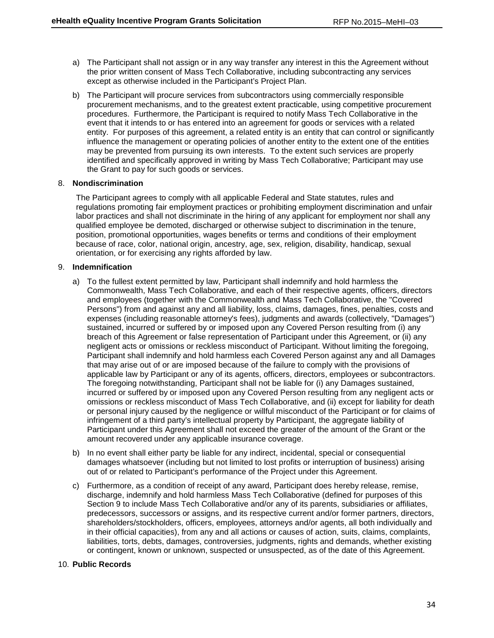- a) The Participant shall not assign or in any way transfer any interest in this the Agreement without the prior written consent of Mass Tech Collaborative, including subcontracting any services except as otherwise included in the Participant's Project Plan.
- b) The Participant will procure services from subcontractors using commercially responsible procurement mechanisms, and to the greatest extent practicable, using competitive procurement procedures. Furthermore, the Participant is required to notify Mass Tech Collaborative in the event that it intends to or has entered into an agreement for goods or services with a related entity. For purposes of this agreement, a related entity is an entity that can control or significantly influence the management or operating policies of another entity to the extent one of the entities may be prevented from pursuing its own interests. To the extent such services are properly identified and specifically approved in writing by Mass Tech Collaborative; Participant may use the Grant to pay for such goods or services.

### 8. **Nondiscrimination**

The Participant agrees to comply with all applicable Federal and State statutes, rules and regulations promoting fair employment practices or prohibiting employment discrimination and unfair labor practices and shall not discriminate in the hiring of any applicant for employment nor shall any qualified employee be demoted, discharged or otherwise subject to discrimination in the tenure, position, promotional opportunities, wages benefits or terms and conditions of their employment because of race, color, national origin, ancestry, age, sex, religion, disability, handicap, sexual orientation, or for exercising any rights afforded by law.

### 9. **Indemnification**

- a) To the fullest extent permitted by law, Participant shall indemnify and hold harmless the Commonwealth, Mass Tech Collaborative, and each of their respective agents, officers, directors and employees (together with the Commonwealth and Mass Tech Collaborative, the "Covered Persons") from and against any and all liability, loss, claims, damages, fines, penalties, costs and expenses (including reasonable attorney's fees), judgments and awards (collectively, "Damages") sustained, incurred or suffered by or imposed upon any Covered Person resulting from (i) any breach of this Agreement or false representation of Participant under this Agreement, or (ii) any negligent acts or omissions or reckless misconduct of Participant. Without limiting the foregoing, Participant shall indemnify and hold harmless each Covered Person against any and all Damages that may arise out of or are imposed because of the failure to comply with the provisions of applicable law by Participant or any of its agents, officers, directors, employees or subcontractors. The foregoing notwithstanding, Participant shall not be liable for (i) any Damages sustained, incurred or suffered by or imposed upon any Covered Person resulting from any negligent acts or omissions or reckless misconduct of Mass Tech Collaborative, and (ii) except for liability for death or personal injury caused by the negligence or willful misconduct of the Participant or for claims of infringement of a third party's intellectual property by Participant, the aggregate liability of Participant under this Agreement shall not exceed the greater of the amount of the Grant or the amount recovered under any applicable insurance coverage.
- b) In no event shall either party be liable for any indirect, incidental, special or consequential damages whatsoever (including but not limited to lost profits or interruption of business) arising out of or related to Participant's performance of the Project under this Agreement.
- c) Furthermore, as a condition of receipt of any award, Participant does hereby release, remise, discharge, indemnify and hold harmless Mass Tech Collaborative (defined for purposes of this Section 9 to include Mass Tech Collaborative and/or any of its parents, subsidiaries or affiliates, predecessors, successors or assigns, and its respective current and/or former partners, directors, shareholders/stockholders, officers, employees, attorneys and/or agents, all both individually and in their official capacities), from any and all actions or causes of action, suits, claims, complaints, liabilities, torts, debts, damages, controversies, judgments, rights and demands, whether existing or contingent, known or unknown, suspected or unsuspected, as of the date of this Agreement.

### 10. **Public Records**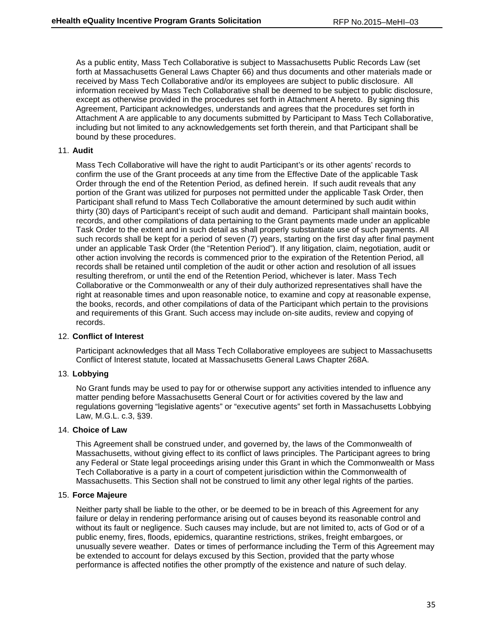As a public entity, Mass Tech Collaborative is subject to Massachusetts Public Records Law (set forth at Massachusetts General Laws Chapter 66) and thus documents and other materials made or received by Mass Tech Collaborative and/or its employees are subject to public disclosure. All information received by Mass Tech Collaborative shall be deemed to be subject to public disclosure, except as otherwise provided in the procedures set forth in Attachment A hereto. By signing this Agreement, Participant acknowledges, understands and agrees that the procedures set forth in Attachment A are applicable to any documents submitted by Participant to Mass Tech Collaborative, including but not limited to any acknowledgements set forth therein, and that Participant shall be bound by these procedures.

#### 11. **Audit**

Mass Tech Collaborative will have the right to audit Participant's or its other agents' records to confirm the use of the Grant proceeds at any time from the Effective Date of the applicable Task Order through the end of the Retention Period, as defined herein. If such audit reveals that any portion of the Grant was utilized for purposes not permitted under the applicable Task Order, then Participant shall refund to Mass Tech Collaborative the amount determined by such audit within thirty (30) days of Participant's receipt of such audit and demand. Participant shall maintain books, records, and other compilations of data pertaining to the Grant payments made under an applicable Task Order to the extent and in such detail as shall properly substantiate use of such payments. All such records shall be kept for a period of seven (7) years, starting on the first day after final payment under an applicable Task Order (the "Retention Period"). If any litigation, claim, negotiation, audit or other action involving the records is commenced prior to the expiration of the Retention Period, all records shall be retained until completion of the audit or other action and resolution of all issues resulting therefrom, or until the end of the Retention Period, whichever is later. Mass Tech Collaborative or the Commonwealth or any of their duly authorized representatives shall have the right at reasonable times and upon reasonable notice, to examine and copy at reasonable expense, the books, records, and other compilations of data of the Participant which pertain to the provisions and requirements of this Grant. Such access may include on-site audits, review and copying of records.

### 12. **Conflict of Interest**

Participant acknowledges that all Mass Tech Collaborative employees are subject to Massachusetts Conflict of Interest statute, located at Massachusetts General Laws Chapter 268A.

#### 13. **Lobbying**

No Grant funds may be used to pay for or otherwise support any activities intended to influence any matter pending before Massachusetts General Court or for activities covered by the law and regulations governing "legislative agents" or "executive agents" set forth in Massachusetts Lobbying Law, M.G.L. c.3, §39.

#### 14. **Choice of Law**

This Agreement shall be construed under, and governed by, the laws of the Commonwealth of Massachusetts, without giving effect to its conflict of laws principles. The Participant agrees to bring any Federal or State legal proceedings arising under this Grant in which the Commonwealth or Mass Tech Collaborative is a party in a court of competent jurisdiction within the Commonwealth of Massachusetts. This Section shall not be construed to limit any other legal rights of the parties.

#### 15. **Force Majeure**

Neither party shall be liable to the other, or be deemed to be in breach of this Agreement for any failure or delay in rendering performance arising out of causes beyond its reasonable control and without its fault or negligence. Such causes may include, but are not limited to, acts of God or of a public enemy, fires, floods, epidemics, quarantine restrictions, strikes, freight embargoes, or unusually severe weather. Dates or times of performance including the Term of this Agreement may be extended to account for delays excused by this Section, provided that the party whose performance is affected notifies the other promptly of the existence and nature of such delay.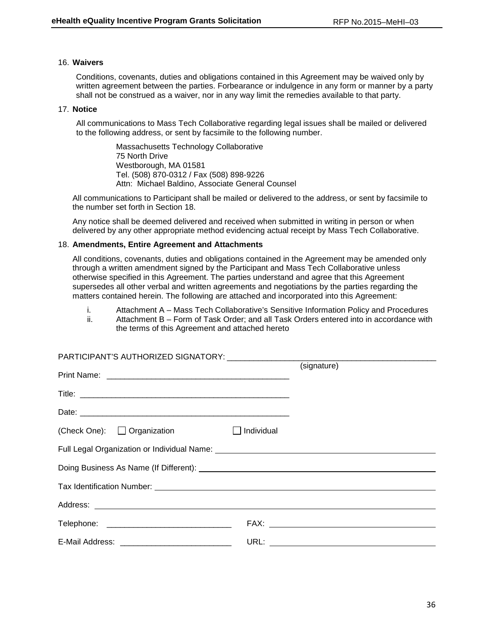### 16. **Waivers**

Conditions, covenants, duties and obligations contained in this Agreement may be waived only by written agreement between the parties. Forbearance or indulgence in any form or manner by a party shall not be construed as a waiver, nor in any way limit the remedies available to that party.

### 17. **Notice**

All communications to Mass Tech Collaborative regarding legal issues shall be mailed or delivered to the following address, or sent by facsimile to the following number.

> Massachusetts Technology Collaborative 75 North Drive Westborough, MA 01581 Tel. (508) 870-0312 / Fax (508) 898-9226 Attn: Michael Baldino, Associate General Counsel

All communications to Participant shall be mailed or delivered to the address, or sent by facsimile to the number set forth in Section 18.

Any notice shall be deemed delivered and received when submitted in writing in person or when delivered by any other appropriate method evidencing actual receipt by Mass Tech Collaborative.

### 18. **Amendments, Entire Agreement and Attachments**

All conditions, covenants, duties and obligations contained in the Agreement may be amended only through a written amendment signed by the Participant and Mass Tech Collaborative unless otherwise specified in this Agreement. The parties understand and agree that this Agreement supersedes all other verbal and written agreements and negotiations by the parties regarding the matters contained herein. The following are attached and incorporated into this Agreement:

- i. Attachment A Mass Tech Collaborative's Sensitive Information Policy and Procedures
- ii. Attachment B Form of Task Order; and all Task Orders entered into in accordance with the terms of this Agreement and attached hereto

|                                                   | (signature)                                                                                                                                                                                                                    |
|---------------------------------------------------|--------------------------------------------------------------------------------------------------------------------------------------------------------------------------------------------------------------------------------|
|                                                   |                                                                                                                                                                                                                                |
|                                                   |                                                                                                                                                                                                                                |
| (Check One): □ Organization □ Individual          |                                                                                                                                                                                                                                |
|                                                   |                                                                                                                                                                                                                                |
|                                                   |                                                                                                                                                                                                                                |
|                                                   |                                                                                                                                                                                                                                |
|                                                   |                                                                                                                                                                                                                                |
|                                                   | FAX: The contract of the contract of the contract of the contract of the contract of the contract of the contract of the contract of the contract of the contract of the contract of the contract of the contract of the contr |
| E-Mail Address: _________________________________ |                                                                                                                                                                                                                                |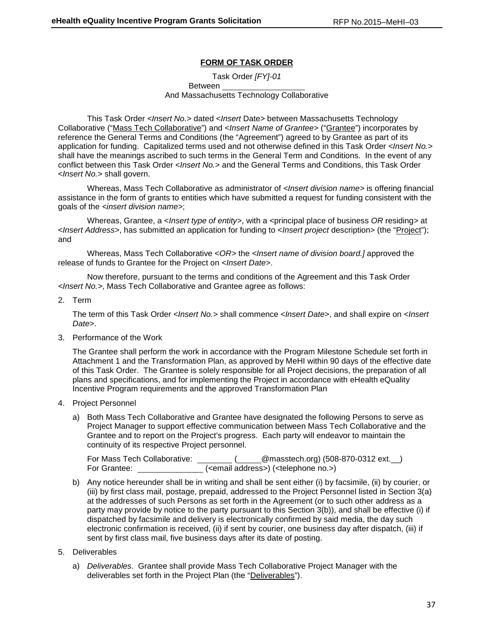## **FORM OF TASK ORDER**

Task Order *[FY]-01* Between And Massachusetts Technology Collaborative

This Task Order *<Insert No.>* dated <*Insert* Date> between Massachusetts Technology Collaborative ("Mass Tech Collaborative") and <*Insert Name of Grantee*> ("Grantee") incorporates by reference the General Terms and Conditions (the "Agreement") agreed to by Grantee as part of its application for funding. Capitalized terms used and not otherwise defined in this Task Order *<Insert No.>* shall have the meanings ascribed to such terms in the General Term and Conditions. In the event of any conflict between this Task Order <*Insert No.*> and the General Terms and Conditions, this Task Order <*Insert No.*> shall govern.

Whereas, Mass Tech Collaborative as administrator of *<Insert division name>* is offering financial assistance in the form of grants to entities which have submitted a request for funding consistent with the goals of the *<insert division name>*;

Whereas, Grantee, a <*Insert type of entity>*, with a *<*principal place of business *OR* residing*>* at <*Insert Address>*, has submitted an application for funding to <*Insert project* description> (the "Project"); and

Whereas, Mass Tech Collaborative <*OR>* the *<Insert name of division board.]* approved the release of funds to Grantee for the Project on <*Insert Date*>.

Now therefore, pursuant to the terms and conditions of the Agreement and this Task Order *<Insert No.>*, Mass Tech Collaborative and Grantee agree as follows:

### 2. Term

The term of this Task Order *<Insert No.>* shall commence <*Insert Date*>, and shall expire on <*Insert Date*>.

3. Performance of the Work

The Grantee shall perform the work in accordance with the Program Milestone Schedule set forth in Attachment 1 and the Transformation Plan, as approved by MeHI within 90 days of the effective date of this Task Order. The Grantee is solely responsible for all Project decisions, the preparation of all plans and specifications, and for implementing the Project in accordance with eHealth eQuality Incentive Program requirements and the approved Transformation Plan

- 4. Project Personnel
	- a) Both Mass Tech Collaborative and Grantee have designated the following Persons to serve as Project Manager to support effective communication between Mass Tech Collaborative and the Grantee and to report on the Project's progress. Each party will endeavor to maintain the continuity of its respective Project personnel.

For Mass Tech Collaborative: \_\_\_\_\_\_\_\_(\_\_\_\_@masstech.org) (508-870-0312 ext.\_\_) For Grantee:  $\left($  <email address> $\right)$  (<telephone no.>)

b) Any notice hereunder shall be in writing and shall be sent either (i) by facsimile, (ii) by courier, or (iii) by first class mail, postage, prepaid, addressed to the Project Personnel listed in Section 3(a) at the addresses of such Persons as set forth in the Agreement (or to such other address as a party may provide by notice to the party pursuant to this Section 3(b)), and shall be effective (i) if dispatched by facsimile and delivery is electronically confirmed by said media, the day such electronic confirmation is received, (ii) if sent by courier, one business day after dispatch, (iii) if sent by first class mail, five business days after its date of posting.

### 5. Deliverables

a) *Deliverables*. Grantee shall provide Mass Tech Collaborative Project Manager with the deliverables set forth in the Project Plan (the "Deliverables").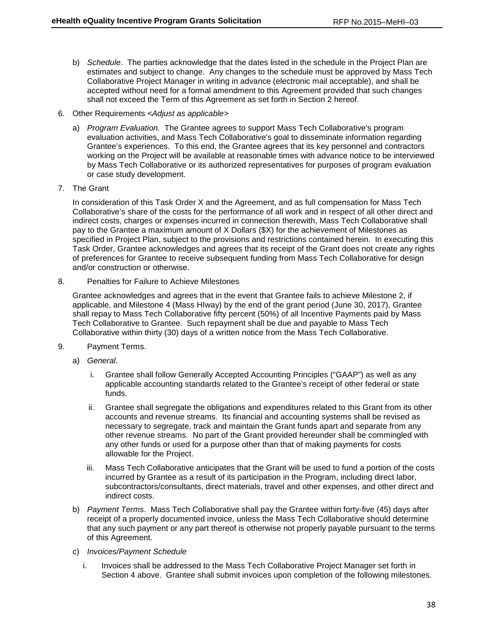- b) *Schedule*. The parties acknowledge that the dates listed in the schedule in the Project Plan are estimates and subject to change. Any changes to the schedule must be approved by Mass Tech Collaborative Project Manager in writing in advance (electronic mail acceptable), and shall be accepted without need for a formal amendment to this Agreement provided that such changes shall not exceed the Term of this Agreement as set forth in Section 2 hereof.
- 6. Other Requirements *<Adjust as applicable>*
	- a) *Program Evaluation.* The Grantee agrees to support Mass Tech Collaborative's program evaluation activities, and Mass Tech Collaborative's goal to disseminate information regarding Grantee's experiences. To this end, the Grantee agrees that its key personnel and contractors working on the Project will be available at reasonable times with advance notice to be interviewed by Mass Tech Collaborative or its authorized representatives for purposes of program evaluation or case study development.
- 7. The Grant

In consideration of this Task Order X and the Agreement, and as full compensation for Mass Tech Collaborative's share of the costs for the performance of all work and in respect of all other direct and indirect costs, charges or expenses incurred in connection therewith, Mass Tech Collaborative shall pay to the Grantee a maximum amount of X Dollars (\$X) for the achievement of Milestones as specified in Project Plan, subject to the provisions and restrictions contained herein. In executing this Task Order, Grantee acknowledges and agrees that its receipt of the Grant does not create any rights of preferences for Grantee to receive subsequent funding from Mass Tech Collaborative for design and/or construction or otherwise.

8. Penalties for Failure to Achieve Milestones

Grantee acknowledges and agrees that in the event that Grantee fails to achieve Milestone 2, if applicable, and Milestone 4 (Mass HIway) by the end of the grant period (June 30, 2017), Grantee shall repay to Mass Tech Collaborative fifty percent (50%) of all Incentive Payments paid by Mass Tech Collaborative to Grantee. Such repayment shall be due and payable to Mass Tech Collaborative within thirty (30) days of a written notice from the Mass Tech Collaborative.

- 9. Payment Terms.
	- a) *General*.
		- i. Grantee shall follow Generally Accepted Accounting Principles ("GAAP") as well as any applicable accounting standards related to the Grantee's receipt of other federal or state funds.
		- ii. Grantee shall segregate the obligations and expenditures related to this Grant from its other accounts and revenue streams. Its financial and accounting systems shall be revised as necessary to segregate, track and maintain the Grant funds apart and separate from any other revenue streams. No part of the Grant provided hereunder shall be commingled with any other funds or used for a purpose other than that of making payments for costs allowable for the Project.
		- iii. Mass Tech Collaborative anticipates that the Grant will be used to fund a portion of the costs incurred by Grantee as a result of its participation in the Program, including direct labor, subcontractors/consultants, direct materials, travel and other expenses, and other direct and indirect costs.
	- b) *Payment Terms*. Mass Tech Collaborative shall pay the Grantee within forty-five (45) days after receipt of a properly documented invoice, unless the Mass Tech Collaborative should determine that any such payment or any part thereof is otherwise not properly payable pursuant to the terms of this Agreement.
	- c) *Invoices/Payment Schedule* 
		- i. Invoices shall be addressed to the Mass Tech Collaborative Project Manager set forth in Section 4 above. Grantee shall submit invoices upon completion of the following milestones.